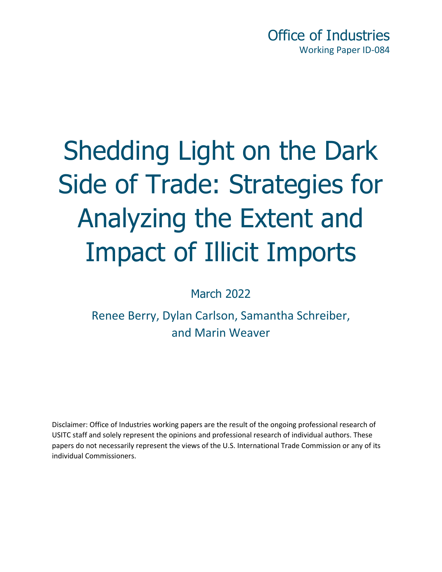Office of Industries Working Paper ID-084

# Shedding Light on the Dark Side of Trade: Strategies for Analyzing the Extent and Impact of Illicit Imports

March 2022

Renee Berry, Dylan Carlson, Samantha Schreiber, and Marin Weaver

Disclaimer: Office of Industries working papers are the result of the ongoing professional research of USITC staff and solely represent the opinions and professional research of individual authors. These papers do not necessarily represent the views of the U.S. International Trade Commission or any of its individual Commissioners.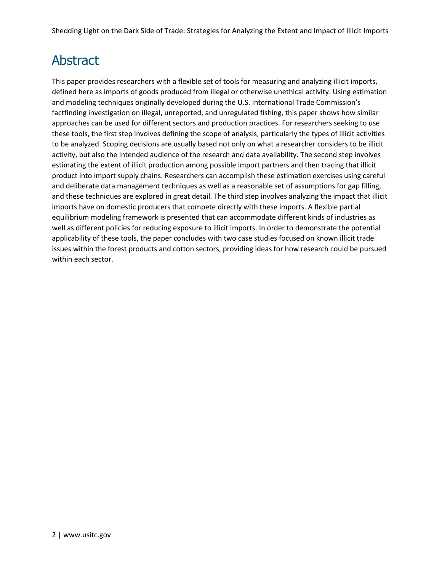### Abstract

This paper provides researchers with a flexible set of tools for measuring and analyzing illicit imports, defined here as imports of goods produced from illegal or otherwise unethical activity. Using estimation and modeling techniques originally developed during the U.S. International Trade Commission's factfinding investigation on illegal, unreported, and unregulated fishing, this paper shows how similar approaches can be used for different sectors and production practices. For researchers seeking to use these tools, the first step involves defining the scope of analysis, particularly the types of illicit activities to be analyzed. Scoping decisions are usually based not only on what a researcher considers to be illicit activity, but also the intended audience of the research and data availability. The second step involves estimating the extent of illicit production among possible import partners and then tracing that illicit product into import supply chains. Researchers can accomplish these estimation exercises using careful and deliberate data management techniques as well as a reasonable set of assumptions for gap filling, and these techniques are explored in great detail. The third step involves analyzing the impact that illicit imports have on domestic producers that compete directly with these imports. A flexible partial equilibrium modeling framework is presented that can accommodate different kinds of industries as well as different policies for reducing exposure to illicit imports. In order to demonstrate the potential applicability of these tools, the paper concludes with two case studies focused on known illicit trade issues within the forest products and cotton sectors, providing ideas for how research could be pursued within each sector.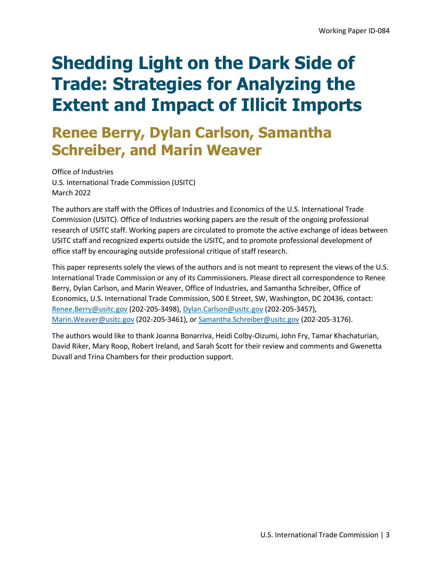# **Renee Berry, Dylan Carlson, Samantha Schreiber, and Marin Weaver**

Office of Industries U.S. International Trade Commission (USITC) March 2022

The authors are staff with the Offices of Industries and Economics of the U.S. International Trade Commission (USITC). Office of Industries working papers are the result of the ongoing professional research of USITC staff. Working papers are circulated to promote the active exchange of ideas between USITC staff and recognized experts outside the USITC, and to promote professional development of office staff by encouraging outside professional critique of staff research.

This paper represents solely the views of the authors and is not meant to represent the views of the U.S. International Trade Commission or any of its Commissioners. Please direct all correspondence to Renee Berry, Dylan Carlson, and Marin Weaver, Office of Industries, and Samantha Schreiber, Office of Economics, U.S. International Trade Commission, 500 E Street, SW, Washington, DC 20436, contact: [Renee.Berry@usitc.gov](mailto:Renee.Berry@usitc.gov) (202-205-3498)[, Dylan.Carlson@usitc.gov](mailto:Dylan.Carlson@usitc.gov) (202-205-3457), [Marin.Weaver@usitc.gov](mailto:Marin.Weaver@usitc.gov) (202-205-3461), or [Samantha.Schreiber@usitc.gov](mailto:Samantha.Schreiber@usitc.gov) (202-205-3176).

The authors would like to thank Joanna Bonarriva, Heidi Colby-Oizumi, John Fry, Tamar Khachaturian, David Riker, Mary Roop, Robert Ireland, and Sarah Scott for their review and comments and Gwenetta Duvall and Trina Chambers for their production support.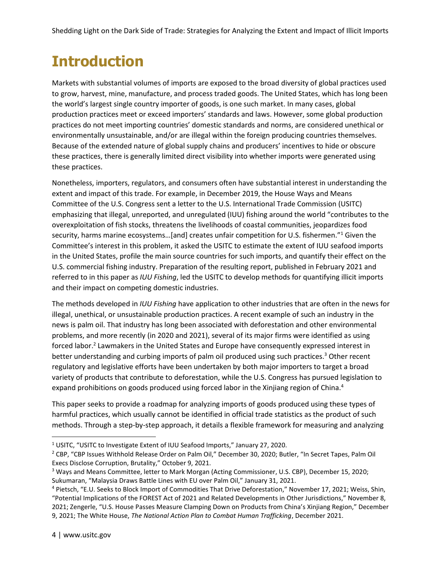# **Introduction**

Markets with substantial volumes of imports are exposed to the broad diversity of global practices used to grow, harvest, mine, manufacture, and process traded goods. The United States, which has long been the world's largest single country importer of goods, is one such market. In many cases, global production practices meet or exceed importers' standards and laws. However, some global production practices do not meet importing countries' domestic standards and norms, are considered unethical or environmentally unsustainable, and/or are illegal within the foreign producing countries themselves. Because of the extended nature of global supply chains and producers' incentives to hide or obscure these practices, there is generally limited direct visibility into whether imports were generated using these practices.

Nonetheless, importers, regulators, and consumers often have substantial interest in understanding the extent and impact of this trade. For example, in December 2019, the House Ways and Means Committee of the U.S. Congress sent a letter to the U.S. International Trade Commission (USITC) emphasizing that illegal, unreported, and unregulated (IUU) fishing around the world "contributes to the overexploitation of fish stocks, threatens the livelihoods of coastal communities, jeopardizes food security, harms marine ecosystems...[and] creates unfair competition for U.S. fishermen."<sup>1</sup> Given the Committee's interest in this problem, it asked the USITC to estimate the extent of IUU seafood imports in the United States, profile the main source countries for such imports, and quantify their effect on the U.S. commercial fishing industry. Preparation of the resulting report, published in February 2021 and referred to in this paper as *IUU Fishing*, led the USITC to develop methods for quantifying illicit imports and their impact on competing domestic industries.

The methods developed in *IUU Fishing* have application to other industries that are often in the news for illegal, unethical, or unsustainable production practices. A recent example of such an industry in the news is palm oil. That industry has long been associated with deforestation and other environmental problems, and more recently (in 2020 and 2021), several of its major firms were identified as using forced labor.<sup>2</sup> Lawmakers in the United States and Europe have consequently expressed interest in better understanding and curbing imports of palm oil produced using such practices.<sup>3</sup> Other recent regulatory and legislative efforts have been undertaken by both major importers to target a broad variety of products that contribute to deforestation, while the U.S. Congress has pursued legislation to expand prohibitions on goods produced using forced labor in the Xinjiang region of China.<sup>4</sup>

This paper seeks to provide a roadmap for analyzing imports of goods produced using these types of harmful practices, which usually cannot be identified in official trade statistics as the product of such methods. Through a step-by-step approach, it details a flexible framework for measuring and analyzing

<sup>&</sup>lt;sup>1</sup> USITC, "USITC to Investigate Extent of IUU Seafood Imports," January 27, 2020.

<sup>2</sup> CBP, "CBP Issues Withhold Release Order on Palm Oil," December 30, 2020; Butler, "In Secret Tapes, Palm Oil Execs Disclose Corruption, Brutality," October 9, 2021.

<sup>3</sup> Ways and Means Committee, letter to Mark Morgan (Acting Commissioner, U.S. CBP), December 15, 2020; Sukumaran, "Malaysia Draws Battle Lines with EU over Palm Oil," January 31, 2021.

<sup>4</sup> Pietsch, "E.U. Seeks to Block Import of Commodities That Drive Deforestation," November 17, 2021; Weiss, Shin, "Potential Implications of the FOREST Act of 2021 and Related Developments in Other Jurisdictions," November 8, 2021; Zengerle, "U.S. House Passes Measure Clamping Down on Products from China's Xinjiang Region," December 9, 2021; The White House, *The National Action Plan to Combat Human Trafficking*, December 2021.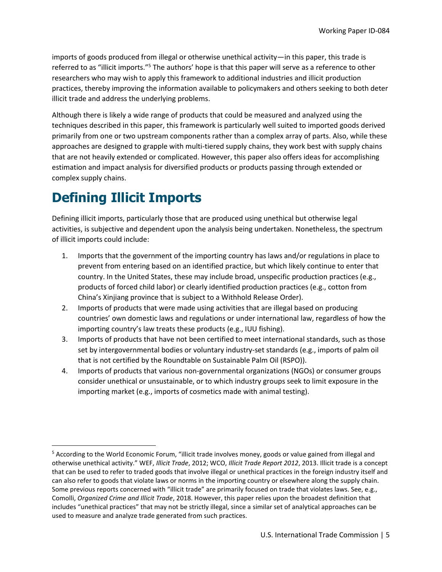imports of goods produced from illegal or otherwise unethical activity—in this paper, this trade is referred to as "illicit imports."<sup>5</sup> The authors' hope is that this paper will serve as a reference to other researchers who may wish to apply this framework to additional industries and illicit production practices, thereby improving the information available to policymakers and others seeking to both deter illicit trade and address the underlying problems.

Although there is likely a wide range of products that could be measured and analyzed using the techniques described in this paper, this framework is particularly well suited to imported goods derived primarily from one or two upstream components rather than a complex array of parts. Also, while these approaches are designed to grapple with multi-tiered supply chains, they work best with supply chains that are not heavily extended or complicated. However, this paper also offers ideas for accomplishing estimation and impact analysis for diversified products or products passing through extended or complex supply chains.

## **Defining Illicit Imports**

Defining illicit imports, particularly those that are produced using unethical but otherwise legal activities, is subjective and dependent upon the analysis being undertaken. Nonetheless, the spectrum of illicit imports could include:

- 1. Imports that the government of the importing country has laws and/or regulations in place to prevent from entering based on an identified practice, but which likely continue to enter that country. In the United States, these may include broad, unspecific production practices (e.g., products of forced child labor) or clearly identified production practices (e.g., cotton from China's Xinjiang province that is subject to a Withhold Release Order).
- 2. Imports of products that were made using activities that are illegal based on producing countries' own domestic laws and regulations or under international law, regardless of how the importing country's law treats these products (e.g., IUU fishing).
- 3. Imports of products that have not been certified to meet international standards, such as those set by intergovernmental bodies or voluntary industry-set standards (e.g., imports of palm oil that is not certified by the Roundtable on Sustainable Palm Oil (RSPO)).
- 4. Imports of products that various non-governmental organizations (NGOs) or consumer groups consider unethical or unsustainable, or to which industry groups seek to limit exposure in the importing market (e.g., imports of cosmetics made with animal testing).

<sup>5</sup> According to the World Economic Forum, "illicit trade involves money, goods or value gained from illegal and otherwise unethical activity." WEF, *Illicit Trade*, 2012; WCO, *Illicit Trade Report 2012*, 2013. Illicit trade is a concept that can be used to refer to traded goods that involve illegal or unethical practices in the foreign industry itself and can also refer to goods that violate laws or norms in the importing country or elsewhere along the supply chain. Some previous reports concerned with "illicit trade" are primarily focused on trade that violates laws. See, e.g., Comolli, *Organized Crime and Illicit Trade*, 2018. However, this paper relies upon the broadest definition that includes "unethical practices" that may not be strictly illegal, since a similar set of analytical approaches can be used to measure and analyze trade generated from such practices.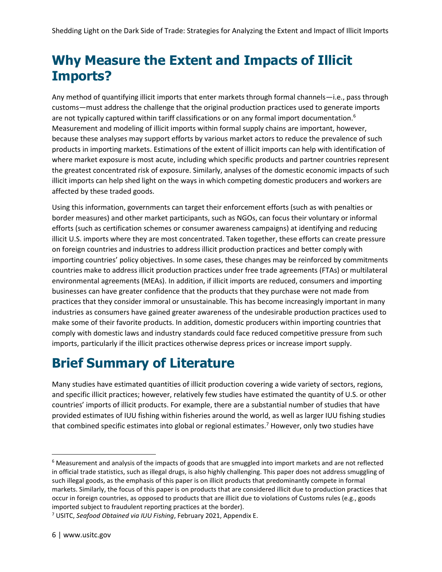### **Why Measure the Extent and Impacts of Illicit Imports?**

Any method of quantifying illicit imports that enter markets through formal channels—i.e., pass through customs—must address the challenge that the original production practices used to generate imports are not typically captured within tariff classifications or on any formal import documentation.<sup>6</sup> Measurement and modeling of illicit imports within formal supply chains are important, however, because these analyses may support efforts by various market actors to reduce the prevalence of such products in importing markets. Estimations of the extent of illicit imports can help with identification of where market exposure is most acute, including which specific products and partner countries represent the greatest concentrated risk of exposure. Similarly, analyses of the domestic economic impacts of such illicit imports can help shed light on the ways in which competing domestic producers and workers are affected by these traded goods.

Using this information, governments can target their enforcement efforts (such as with penalties or border measures) and other market participants, such as NGOs, can focus their voluntary or informal efforts (such as certification schemes or consumer awareness campaigns) at identifying and reducing illicit U.S. imports where they are most concentrated. Taken together, these efforts can create pressure on foreign countries and industries to address illicit production practices and better comply with importing countries' policy objectives. In some cases, these changes may be reinforced by commitments countries make to address illicit production practices under free trade agreements (FTAs) or multilateral environmental agreements (MEAs). In addition, if illicit imports are reduced, consumers and importing businesses can have greater confidence that the products that they purchase were not made from practices that they consider immoral or unsustainable. This has become increasingly important in many industries as consumers have gained greater awareness of the undesirable production practices used to make some of their favorite products. In addition, domestic producers within importing countries that comply with domestic laws and industry standards could face reduced competitive pressure from such imports, particularly if the illicit practices otherwise depress prices or increase import supply.

### **Brief Summary of Literature**

Many studies have estimated quantities of illicit production covering a wide variety of sectors, regions, and specific illicit practices; however, relatively few studies have estimated the quantity of U.S. or other countries' imports of illicit products. For example, there are a substantial number of studies that have provided estimates of IUU fishing within fisheries around the world, as well as larger IUU fishing studies that combined specific estimates into global or regional estimates.<sup>7</sup> However, only two studies have

 $6$  Measurement and analysis of the impacts of goods that are smuggled into import markets and are not reflected in official trade statistics, such as illegal drugs, is also highly challenging. This paper does not address smuggling of such illegal goods, as the emphasis of this paper is on illicit products that predominantly compete in formal markets. Similarly, the focus of this paper is on products that are considered illicit due to production practices that occur in foreign countries, as opposed to products that are illicit due to violations of Customs rules (e.g., goods imported subject to fraudulent reporting practices at the border).

<sup>7</sup> USITC, *Seafood Obtained via IUU Fishing*, February 2021, Appendix E.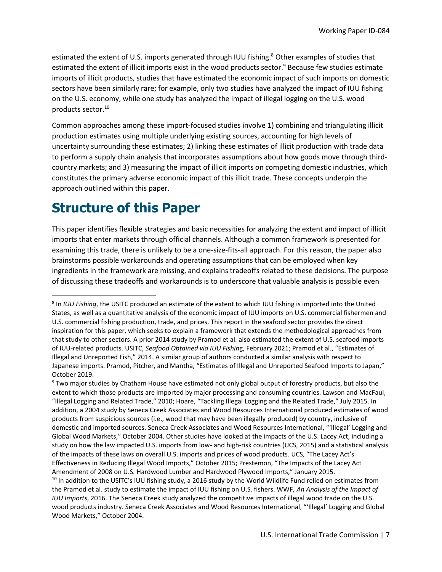estimated the extent of U.S. imports generated through IUU fishing.<sup>8</sup> Other examples of studies that estimated the extent of illicit imports exist in the wood products sector.<sup>9</sup> Because few studies estimate imports of illicit products, studies that have estimated the economic impact of such imports on domestic sectors have been similarly rare; for example, only two studies have analyzed the impact of IUU fishing on the U.S. economy, while one study has analyzed the impact of illegal logging on the U.S. wood products sector.<sup>10</sup>

Common approaches among these import-focused studies involve 1) combining and triangulating illicit production estimates using multiple underlying existing sources, accounting for high levels of uncertainty surrounding these estimates; 2) linking these estimates of illicit production with trade data to perform a supply chain analysis that incorporates assumptions about how goods move through thirdcountry markets; and 3) measuring the impact of illicit imports on competing domestic industries, which constitutes the primary adverse economic impact of this illicit trade. These concepts underpin the approach outlined within this paper.

### **Structure of this Paper**

This paper identifies flexible strategies and basic necessities for analyzing the extent and impact of illicit imports that enter markets through official channels. Although a common framework is presented for examining this trade, there is unlikely to be a one-size-fits-all approach. For this reason, the paper also brainstorms possible workarounds and operating assumptions that can be employed when key ingredients in the framework are missing, and explains tradeoffs related to these decisions. The purpose of discussing these tradeoffs and workarounds is to underscore that valuable analysis is possible even

<sup>8</sup> In *IUU Fishing*, the USITC produced an estimate of the extent to which IUU fishing is imported into the United States, as well as a quantitative analysis of the economic impact of IUU imports on U.S. commercial fishermen and U.S. commercial fishing production, trade, and prices. This report in the seafood sector provides the direct inspiration for this paper, which seeks to explain a framework that extends the methodological approaches from that study to other sectors. A prior 2014 study by Pramod et al. also estimated the extent of U.S. seafood imports of IUU-related products. USITC, *Seafood Obtained via IUU Fishin*g, February 2021; Pramod et al., "Estimates of Illegal and Unreported Fish," 2014. A similar group of authors conducted a similar analysis with respect to Japanese imports. Pramod, Pitcher, and Mantha, "Estimates of Illegal and Unreported Seafood Imports to Japan," October 2019.

<sup>&</sup>lt;sup>9</sup> Two major studies by Chatham House have estimated not only global output of forestry products, but also the extent to which those products are imported by major processing and consuming countries. Lawson and MacFaul, "Illegal Logging and Related Trade," 2010; Hoare, "Tackling Illegal Logging and the Related Trade," July 2015. In addition, a 2004 study by Seneca Creek Associates and Wood Resources International produced estimates of wood products from suspicious sources (i.e., wood that may have been illegally produced) by country, inclusive of domestic and imported sources. Seneca Creek Associates and Wood Resources International, "'Illegal' Logging and Global Wood Markets," October 2004. Other studies have looked at the impacts of the U.S. Lacey Act, including a study on how the law impacted U.S. imports from low- and high-risk countries (UCS, 2015) and a statistical analysis of the impacts of these laws on overall U.S. imports and prices of wood products. UCS, "The Lacey Act's Effectiveness in Reducing Illegal Wood Imports," October 2015; Prestemon, "The Impacts of the Lacey Act Amendment of 2008 on U.S. Hardwood Lumber and Hardwood Plywood Imports," January 2015. <sup>10</sup> In addition to the USITC's IUU fishing study, a 2016 study by the World Wildlife Fund relied on estimates from the Pramod et al. study to estimate the impact of IUU fishing on U.S. fishers. WWF, *An Analysis of the Impact of IUU Imports*, 2016. The Seneca Creek study analyzed the competitive impacts of illegal wood trade on the U.S. wood products industry. Seneca Creek Associates and Wood Resources International, "'Illegal' Logging and Global Wood Markets," October 2004.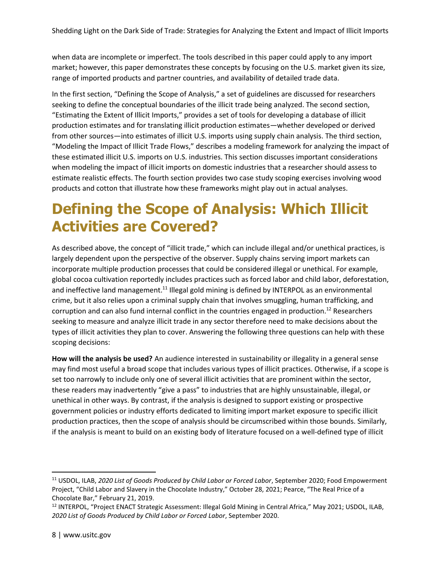when data are incomplete or imperfect. The tools described in this paper could apply to any import market; however, this paper demonstrates these concepts by focusing on the U.S. market given its size, range of imported products and partner countries, and availability of detailed trade data.

In the first section, "Defining the Scope of Analysis," a set of guidelines are discussed for researchers seeking to define the conceptual boundaries of the illicit trade being analyzed. The second section, "Estimating the Extent of Illicit Imports," provides a set of tools for developing a database of illicit production estimates and for translating illicit production estimates—whether developed or derived from other sources—into estimates of illicit U.S. imports using supply chain analysis. The third section, "Modeling the Impact of Illicit Trade Flows," describes a modeling framework for analyzing the impact of these estimated illicit U.S. imports on U.S. industries. This section discusses important considerations when modeling the impact of illicit imports on domestic industries that a researcher should assess to estimate realistic effects. The fourth section provides two case study scoping exercises involving wood products and cotton that illustrate how these frameworks might play out in actual analyses.

# **Defining the Scope of Analysis: Which Illicit Activities are Covered?**

As described above, the concept of "illicit trade," which can include illegal and/or unethical practices, is largely dependent upon the perspective of the observer. Supply chains serving import markets can incorporate multiple production processes that could be considered illegal or unethical. For example, global cocoa cultivation reportedly includes practices such as forced labor and child labor, deforestation, and ineffective land management.<sup>11</sup> Illegal gold mining is defined by INTERPOL as an environmental crime, but it also relies upon a criminal supply chain that involves smuggling, human trafficking, and corruption and can also fund internal conflict in the countries engaged in production.<sup>12</sup> Researchers seeking to measure and analyze illicit trade in any sector therefore need to make decisions about the types of illicit activities they plan to cover. Answering the following three questions can help with these scoping decisions:

**How will the analysis be used?** An audience interested in sustainability or illegality in a general sense may find most useful a broad scope that includes various types of illicit practices. Otherwise, if a scope is set too narrowly to include only one of several illicit activities that are prominent within the sector, these readers may inadvertently "give a pass" to industries that are highly unsustainable, illegal, or unethical in other ways. By contrast, if the analysis is designed to support existing or prospective government policies or industry efforts dedicated to limiting import market exposure to specific illicit production practices, then the scope of analysis should be circumscribed within those bounds. Similarly, if the analysis is meant to build on an existing body of literature focused on a well-defined type of illicit

<sup>11</sup> USDOL, ILAB, *2020 List of Goods Produced by Child Labor or Forced Labor*, September 2020; Food Empowerment Project, "Child Labor and Slavery in the Chocolate Industry," October 28, 2021; Pearce, "The Real Price of a Chocolate Bar," February 21, 2019.

<sup>&</sup>lt;sup>12</sup> INTERPOL, "Project ENACT Strategic Assessment: Illegal Gold Mining in Central Africa," May 2021; USDOL, ILAB, *2020 List of Goods Produced by Child Labor or Forced Labor*, September 2020.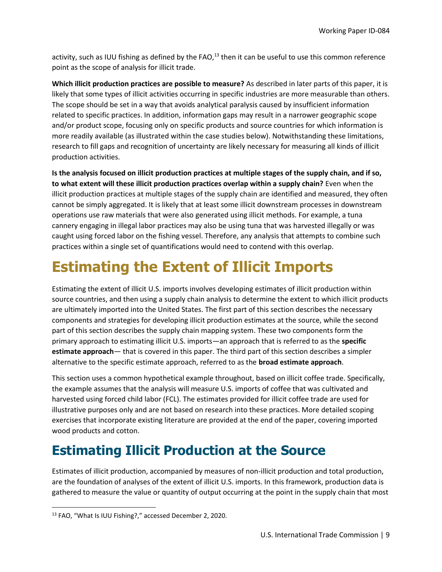activity, such as IUU fishing as defined by the FAO, $^{13}$  then it can be useful to use this common reference point as the scope of analysis for illicit trade.

**Which illicit production practices are possible to measure?** As described in later parts of this paper, it is likely that some types of illicit activities occurring in specific industries are more measurable than others. The scope should be set in a way that avoids analytical paralysis caused by insufficient information related to specific practices. In addition, information gaps may result in a narrower geographic scope and/or product scope, focusing only on specific products and source countries for which information is more readily available (as illustrated within the case studies below). Notwithstanding these limitations, research to fill gaps and recognition of uncertainty are likely necessary for measuring all kinds of illicit production activities.

**Is the analysis focused on illicit production practices at multiple stages of the supply chain, and if so, to what extent will these illicit production practices overlap within a supply chain?** Even when the illicit production practices at multiple stages of the supply chain are identified and measured, they often cannot be simply aggregated. It is likely that at least some illicit downstream processes in downstream operations use raw materials that were also generated using illicit methods. For example, a tuna cannery engaging in illegal labor practices may also be using tuna that was harvested illegally or was caught using forced labor on the fishing vessel. Therefore, any analysis that attempts to combine such practices within a single set of quantifications would need to contend with this overlap.

# **Estimating the Extent of Illicit Imports**

Estimating the extent of illicit U.S. imports involves developing estimates of illicit production within source countries, and then using a supply chain analysis to determine the extent to which illicit products are ultimately imported into the United States. The first part of this section describes the necessary components and strategies for developing illicit production estimates at the source, while the second part of this section describes the supply chain mapping system. These two components form the primary approach to estimating illicit U.S. imports—an approach that is referred to as the **specific estimate approach**— that is covered in this paper. The third part of this section describes a simpler alternative to the specific estimate approach, referred to as the **broad estimate approach**.

This section uses a common hypothetical example throughout, based on illicit coffee trade. Specifically, the example assumes that the analysis will measure U.S. imports of coffee that was cultivated and harvested using forced child labor (FCL). The estimates provided for illicit coffee trade are used for illustrative purposes only and are not based on research into these practices. More detailed scoping exercises that incorporate existing literature are provided at the end of the paper, covering imported wood products and cotton.

## **Estimating Illicit Production at the Source**

Estimates of illicit production, accompanied by measures of non-illicit production and total production, are the foundation of analyses of the extent of illicit U.S. imports. In this framework, production data is gathered to measure the value or quantity of output occurring at the point in the supply chain that most

<sup>13</sup> FAO, "What Is IUU Fishing?," accessed December 2, 2020.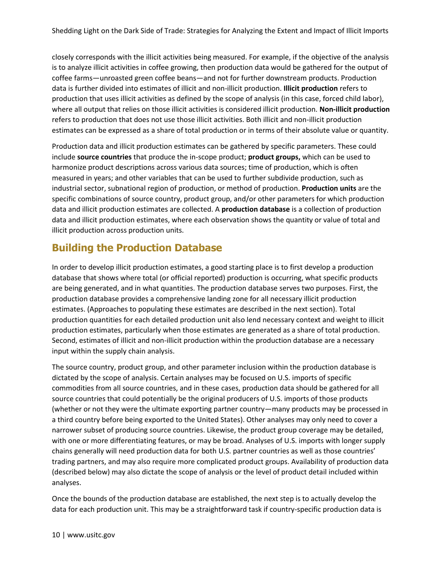closely corresponds with the illicit activities being measured. For example, if the objective of the analysis is to analyze illicit activities in coffee growing, then production data would be gathered for the output of coffee farms—unroasted green coffee beans—and not for further downstream products. Production data is further divided into estimates of illicit and non-illicit production. **Illicit production** refers to production that uses illicit activities as defined by the scope of analysis (in this case, forced child labor), where all output that relies on those illicit activities is considered illicit production. **Non-illicit production** refers to production that does not use those illicit activities. Both illicit and non-illicit production estimates can be expressed as a share of total production or in terms of their absolute value or quantity.

Production data and illicit production estimates can be gathered by specific parameters. These could include **source countries** that produce the in-scope product; **product groups,** which can be used to harmonize product descriptions across various data sources; time of production, which is often measured in years; and other variables that can be used to further subdivide production, such as industrial sector, subnational region of production, or method of production. **Production units** are the specific combinations of source country, product group, and/or other parameters for which production data and illicit production estimates are collected. A **production database** is a collection of production data and illicit production estimates, where each observation shows the quantity or value of total and illicit production across production units.

### **Building the Production Database**

In order to develop illicit production estimates, a good starting place is to first develop a production database that shows where total (or official reported) production is occurring, what specific products are being generated, and in what quantities. The production database serves two purposes. First, the production database provides a comprehensive landing zone for all necessary illicit production estimates. (Approaches to populating these estimates are described in the next section). Total production quantities for each detailed production unit also lend necessary context and weight to illicit production estimates, particularly when those estimates are generated as a share of total production. Second, estimates of illicit and non-illicit production within the production database are a necessary input within the supply chain analysis.

The source country, product group, and other parameter inclusion within the production database is dictated by the scope of analysis. Certain analyses may be focused on U.S. imports of specific commodities from all source countries, and in these cases, production data should be gathered for all source countries that could potentially be the original producers of U.S. imports of those products (whether or not they were the ultimate exporting partner country—many products may be processed in a third country before being exported to the United States). Other analyses may only need to cover a narrower subset of producing source countries. Likewise, the product group coverage may be detailed, with one or more differentiating features, or may be broad. Analyses of U.S. imports with longer supply chains generally will need production data for both U.S. partner countries as well as those countries' trading partners, and may also require more complicated product groups. Availability of production data (described below) may also dictate the scope of analysis or the level of product detail included within analyses.

Once the bounds of the production database are established, the next step is to actually develop the data for each production unit. This may be a straightforward task if country-specific production data is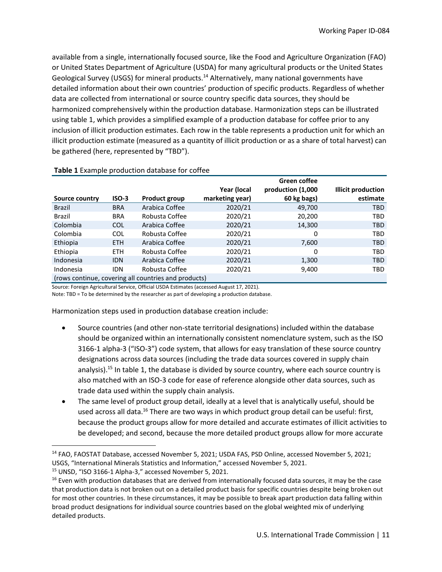available from a single, internationally focused source, like the Food and Agriculture Organization (FAO) or United States Department of Agriculture (USDA) for many agricultural products or the United States Geological Survey (USGS) for mineral products.<sup>14</sup> Alternatively, many national governments have detailed information about their own countries' production of specific products. Regardless of whether data are collected from international or source country specific data sources, they should be harmonized comprehensively within the production database. Harmonization steps can be illustrated using table 1, which provides a simplified example of a production database for coffee prior to any inclusion of illicit production estimates. Each row in the table represents a production unit for which an illicit production estimate (measured as a quantity of illicit production or as a share of total harvest) can be gathered (here, represented by "TBD").

|                                                      |            |                      |                 | Green coffee      |                           |
|------------------------------------------------------|------------|----------------------|-----------------|-------------------|---------------------------|
|                                                      |            |                      | Year (local     | production (1,000 | <b>Illicit production</b> |
| Source country                                       | $ISO-3$    | <b>Product group</b> | marketing year) | 60 kg bags)       | estimate                  |
| <b>Brazil</b>                                        | <b>BRA</b> | Arabica Coffee       | 2020/21         | 49,700            | <b>TBD</b>                |
| <b>Brazil</b>                                        | <b>BRA</b> | Robusta Coffee       | 2020/21         | 20,200            | TBD                       |
| Colombia                                             | <b>COL</b> | Arabica Coffee       | 2020/21         | 14,300            | <b>TBD</b>                |
| Colombia                                             | <b>COL</b> | Robusta Coffee       | 2020/21         | 0                 | <b>TBD</b>                |
| Ethiopia                                             | <b>ETH</b> | Arabica Coffee       | 2020/21         | 7,600             | <b>TBD</b>                |
| Ethiopia                                             | <b>ETH</b> | Robusta Coffee       | 2020/21         | 0                 | <b>TBD</b>                |
| Indonesia                                            | <b>IDN</b> | Arabica Coffee       | 2020/21         | 1,300             | <b>TBD</b>                |
| Indonesia                                            | IDN        | Robusta Coffee       | 2020/21         | 9,400             | TBD                       |
| (rows continue, covering all countries and products) |            |                      |                 |                   |                           |

#### **Table 1** Example production database for coffee

Source: Foreign Agricultural Service, Official USDA Estimates (accessed August 17, 2021).

Note: TBD = To be determined by the researcher as part of developing a production database.

Harmonization steps used in production database creation include:

- Source countries (and other non-state territorial designations) included within the database should be organized within an internationally consistent nomenclature system, such as the ISO 3166-1 alpha-3 ("ISO-3") code system, that allows for easy translation of these source country designations across data sources (including the trade data sources covered in supply chain analysis).<sup>15</sup> In table 1, the database is divided by source country, where each source country is also matched with an ISO-3 code for ease of reference alongside other data sources, such as trade data used within the supply chain analysis.
- The same level of product group detail, ideally at a level that is analytically useful, should be used across all data.<sup>16</sup> There are two ways in which product group detail can be useful: first, because the product groups allow for more detailed and accurate estimates of illicit activities to be developed; and second, because the more detailed product groups allow for more accurate

<sup>&</sup>lt;sup>14</sup> FAO, FAOSTAT Database, accessed November 5, 2021; USDA FAS, PSD Online, accessed November 5, 2021; USGS, "International Minerals Statistics and Information," accessed November 5, 2021.

<sup>15</sup> UNSD, "ISO 3166-1 Alpha-3," accessed November 5, 2021.

 $16$  Even with production databases that are derived from internationally focused data sources, it may be the case that production data is not broken out on a detailed product basis for specific countries despite being broken out for most other countries. In these circumstances, it may be possible to break apart production data falling within broad product designations for individual source countries based on the global weighted mix of underlying detailed products.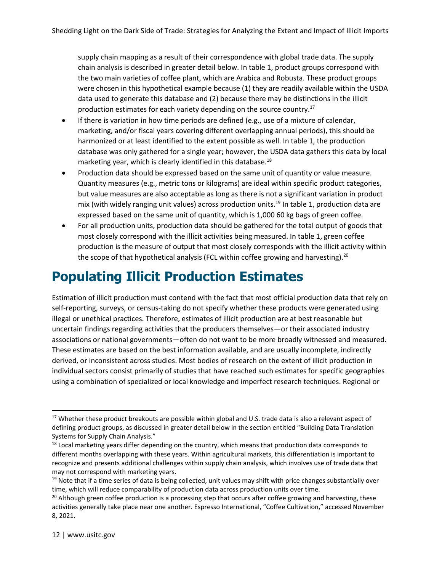supply chain mapping as a result of their correspondence with global trade data. The supply chain analysis is described in greater detail below. In table 1, product groups correspond with the two main varieties of coffee plant, which are Arabica and Robusta. These product groups were chosen in this hypothetical example because (1) they are readily available within the USDA data used to generate this database and (2) because there may be distinctions in the illicit production estimates for each variety depending on the source country.<sup>17</sup>

- If there is variation in how time periods are defined (e.g., use of a mixture of calendar, marketing, and/or fiscal years covering different overlapping annual periods), this should be harmonized or at least identified to the extent possible as well. In table 1, the production database was only gathered for a single year; however, the USDA data gathers this data by local marketing year, which is clearly identified in this database.<sup>18</sup>
- Production data should be expressed based on the same unit of quantity or value measure. Quantity measures (e.g., metric tons or kilograms) are ideal within specific product categories, but value measures are also acceptable as long as there is not a significant variation in product mix (with widely ranging unit values) across production units.<sup>19</sup> In table 1, production data are expressed based on the same unit of quantity, which is 1,000 60 kg bags of green coffee.
- For all production units, production data should be gathered for the total output of goods that most closely correspond with the illicit activities being measured. In table 1, green coffee production is the measure of output that most closely corresponds with the illicit activity within the scope of that hypothetical analysis (FCL within coffee growing and harvesting).<sup>20</sup>

## **Populating Illicit Production Estimates**

Estimation of illicit production must contend with the fact that most official production data that rely on self-reporting, surveys, or census-taking do not specify whether these products were generated using illegal or unethical practices. Therefore, estimates of illicit production are at best reasonable but uncertain findings regarding activities that the producers themselves—or their associated industry associations or national governments—often do not want to be more broadly witnessed and measured. These estimates are based on the best information available, and are usually incomplete, indirectly derived, or inconsistent across studies. Most bodies of research on the extent of illicit production in individual sectors consist primarily of studies that have reached such estimates for specific geographies using a combination of specialized or local knowledge and imperfect research techniques. Regional or

<sup>&</sup>lt;sup>17</sup> Whether these product breakouts are possible within global and U.S. trade data is also a relevant aspect of defining product groups, as discussed in greater detail below in the section entitled "Building Data Translation Systems for Supply Chain Analysis."

 $18$  Local marketing years differ depending on the country, which means that production data corresponds to different months overlapping with these years. Within agricultural markets, this differentiation is important to recognize and presents additional challenges within supply chain analysis, which involves use of trade data that may not correspond with marketing years.

 $19$  Note that if a time series of data is being collected, unit values may shift with price changes substantially over time, which will reduce comparability of production data across production units over time.

 $20$  Although green coffee production is a processing step that occurs after coffee growing and harvesting, these activities generally take place near one another. Espresso International, "Coffee Cultivation," accessed November 8, 2021.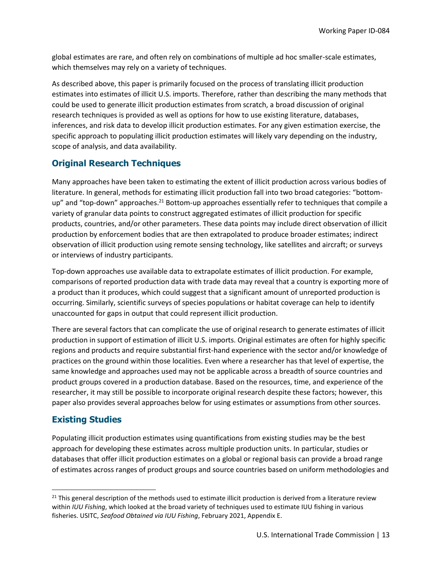global estimates are rare, and often rely on combinations of multiple ad hoc smaller-scale estimates, which themselves may rely on a variety of techniques.

As described above, this paper is primarily focused on the process of translating illicit production estimates into estimates of illicit U.S. imports. Therefore, rather than describing the many methods that could be used to generate illicit production estimates from scratch, a broad discussion of original research techniques is provided as well as options for how to use existing literature, databases, inferences, and risk data to develop illicit production estimates. For any given estimation exercise, the specific approach to populating illicit production estimates will likely vary depending on the industry, scope of analysis, and data availability.

#### **Original Research Techniques**

Many approaches have been taken to estimating the extent of illicit production across various bodies of literature. In general, methods for estimating illicit production fall into two broad categories: "bottomup" and "top-down" approaches.<sup>21</sup> Bottom-up approaches essentially refer to techniques that compile a variety of granular data points to construct aggregated estimates of illicit production for specific products, countries, and/or other parameters. These data points may include direct observation of illicit production by enforcement bodies that are then extrapolated to produce broader estimates; indirect observation of illicit production using remote sensing technology, like satellites and aircraft; or surveys or interviews of industry participants.

Top-down approaches use available data to extrapolate estimates of illicit production. For example, comparisons of reported production data with trade data may reveal that a country is exporting more of a product than it produces, which could suggest that a significant amount of unreported production is occurring. Similarly, scientific surveys of species populations or habitat coverage can help to identify unaccounted for gaps in output that could represent illicit production.

There are several factors that can complicate the use of original research to generate estimates of illicit production in support of estimation of illicit U.S. imports. Original estimates are often for highly specific regions and products and require substantial first-hand experience with the sector and/or knowledge of practices on the ground within those localities. Even where a researcher has that level of expertise, the same knowledge and approaches used may not be applicable across a breadth of source countries and product groups covered in a production database. Based on the resources, time, and experience of the researcher, it may still be possible to incorporate original research despite these factors; however, this paper also provides several approaches below for using estimates or assumptions from other sources.

#### **Existing Studies**

Populating illicit production estimates using quantifications from existing studies may be the best approach for developing these estimates across multiple production units. In particular, studies or databases that offer illicit production estimates on a global or regional basis can provide a broad range of estimates across ranges of product groups and source countries based on uniform methodologies and

 $21$  This general description of the methods used to estimate illicit production is derived from a literature review within *IUU Fishing*, which looked at the broad variety of techniques used to estimate IUU fishing in various fisheries. USITC, *Seafood Obtained via IUU Fishing*, February 2021, Appendix E.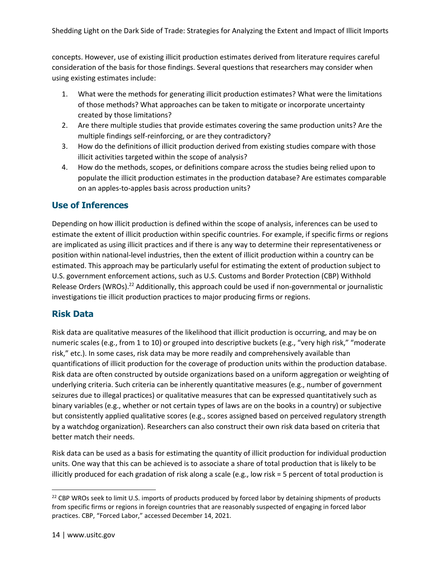concepts. However, use of existing illicit production estimates derived from literature requires careful consideration of the basis for those findings. Several questions that researchers may consider when using existing estimates include:

- 1. What were the methods for generating illicit production estimates? What were the limitations of those methods? What approaches can be taken to mitigate or incorporate uncertainty created by those limitations?
- 2. Are there multiple studies that provide estimates covering the same production units? Are the multiple findings self-reinforcing, or are they contradictory?
- 3. How do the definitions of illicit production derived from existing studies compare with those illicit activities targeted within the scope of analysis?
- 4. How do the methods, scopes, or definitions compare across the studies being relied upon to populate the illicit production estimates in the production database? Are estimates comparable on an apples-to-apples basis across production units?

#### **Use of Inferences**

Depending on how illicit production is defined within the scope of analysis, inferences can be used to estimate the extent of illicit production within specific countries. For example, if specific firms or regions are implicated as using illicit practices and if there is any way to determine their representativeness or position within national-level industries, then the extent of illicit production within a country can be estimated. This approach may be particularly useful for estimating the extent of production subject to U.S. government enforcement actions, such as U.S. Customs and Border Protection (CBP) Withhold Release Orders (WROs).<sup>22</sup> Additionally, this approach could be used if non-governmental or journalistic investigations tie illicit production practices to major producing firms or regions.

#### **Risk Data**

Risk data are qualitative measures of the likelihood that illicit production is occurring, and may be on numeric scales (e.g., from 1 to 10) or grouped into descriptive buckets (e.g., "very high risk," "moderate risk," etc.). In some cases, risk data may be more readily and comprehensively available than quantifications of illicit production for the coverage of production units within the production database. Risk data are often constructed by outside organizations based on a uniform aggregation or weighting of underlying criteria. Such criteria can be inherently quantitative measures (e.g., number of government seizures due to illegal practices) or qualitative measures that can be expressed quantitatively such as binary variables (e.g., whether or not certain types of laws are on the books in a country) or subjective but consistently applied qualitative scores (e.g., scores assigned based on perceived regulatory strength by a watchdog organization). Researchers can also construct their own risk data based on criteria that better match their needs.

Risk data can be used as a basis for estimating the quantity of illicit production for individual production units. One way that this can be achieved is to associate a share of total production that is likely to be illicitly produced for each gradation of risk along a scale (e.g., low risk = 5 percent of total production is

<sup>&</sup>lt;sup>22</sup> CBP WROs seek to limit U.S. imports of products produced by forced labor by detaining shipments of products from specific firms or regions in foreign countries that are reasonably suspected of engaging in forced labor practices. CBP, "Forced Labor," accessed December 14, 2021.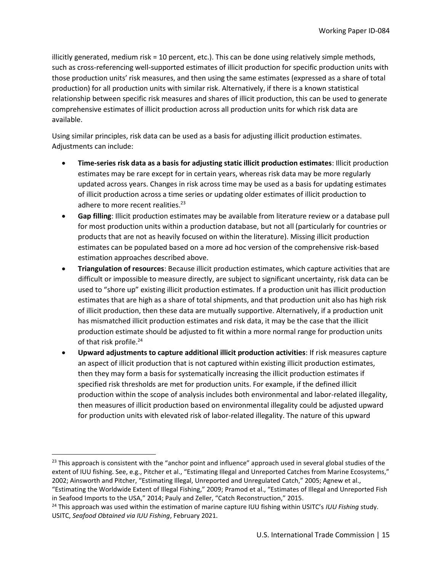illicitly generated, medium risk = 10 percent, etc.). This can be done using relatively simple methods, such as cross-referencing well-supported estimates of illicit production for specific production units with those production units' risk measures, and then using the same estimates (expressed as a share of total production) for all production units with similar risk. Alternatively, if there is a known statistical relationship between specific risk measures and shares of illicit production, this can be used to generate comprehensive estimates of illicit production across all production units for which risk data are available.

Using similar principles, risk data can be used as a basis for adjusting illicit production estimates. Adjustments can include:

- **Time-series risk data as a basis for adjusting static illicit production estimates**: Illicit production estimates may be rare except for in certain years, whereas risk data may be more regularly updated across years. Changes in risk across time may be used as a basis for updating estimates of illicit production across a time series or updating older estimates of illicit production to adhere to more recent realities. $^{23}$
- **Gap filling**: Illicit production estimates may be available from literature review or a database pull for most production units within a production database, but not all (particularly for countries or products that are not as heavily focused on within the literature). Missing illicit production estimates can be populated based on a more ad hoc version of the comprehensive risk-based estimation approaches described above.
- **Triangulation of resources**: Because illicit production estimates, which capture activities that are difficult or impossible to measure directly, are subject to significant uncertainty, risk data can be used to "shore up" existing illicit production estimates. If a production unit has illicit production estimates that are high as a share of total shipments, and that production unit also has high risk of illicit production, then these data are mutually supportive. Alternatively, if a production unit has mismatched illicit production estimates and risk data, it may be the case that the illicit production estimate should be adjusted to fit within a more normal range for production units of that risk profile.<sup>24</sup>
- **Upward adjustments to capture additional illicit production activities**: If risk measures capture an aspect of illicit production that is not captured within existing illicit production estimates, then they may form a basis for systematically increasing the illicit production estimates if specified risk thresholds are met for production units. For example, if the defined illicit production within the scope of analysis includes both environmental and labor-related illegality, then measures of illicit production based on environmental illegality could be adjusted upward for production units with elevated risk of labor-related illegality. The nature of this upward

 $23$  This approach is consistent with the "anchor point and influence" approach used in several global studies of the extent of IUU fishing. See, e.g., Pitcher et al., "Estimating Illegal and Unreported Catches from Marine Ecosystems," 2002; Ainsworth and Pitcher, "Estimating Illegal, Unreported and Unregulated Catch," 2005; Agnew et al.,

<sup>&</sup>quot;Estimating the Worldwide Extent of Illegal Fishing," 2009; Pramod et al., "Estimates of Illegal and Unreported Fish in Seafood Imports to the USA," 2014; Pauly and Zeller, "Catch Reconstruction," 2015.

<sup>24</sup> This approach was used within the estimation of marine capture IUU fishing within USITC's *IUU Fishing* study. USITC, *Seafood Obtained via IUU Fishing*, February 2021.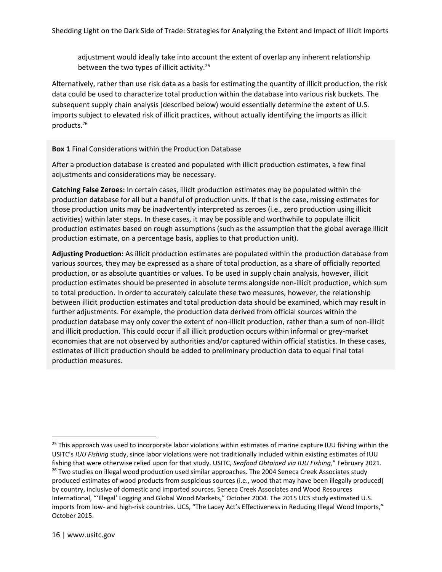adjustment would ideally take into account the extent of overlap any inherent relationship between the two types of illicit activity.<sup>25</sup>

Alternatively, rather than use risk data as a basis for estimating the quantity of illicit production, the risk data could be used to characterize total production within the database into various risk buckets. The subsequent supply chain analysis (described below) would essentially determine the extent of U.S. imports subject to elevated risk of illicit practices, without actually identifying the imports as illicit products.<sup>26</sup>

#### **Box 1** Final Considerations within the Production Database

After a production database is created and populated with illicit production estimates, a few final adjustments and considerations may be necessary.

**Catching False Zeroes:** In certain cases, illicit production estimates may be populated within the production database for all but a handful of production units. If that is the case, missing estimates for those production units may be inadvertently interpreted as zeroes (i.e., zero production using illicit activities) within later steps. In these cases, it may be possible and worthwhile to populate illicit production estimates based on rough assumptions (such as the assumption that the global average illicit production estimate, on a percentage basis, applies to that production unit).

**Adjusting Production:** As illicit production estimates are populated within the production database from various sources, they may be expressed as a share of total production, as a share of officially reported production, or as absolute quantities or values. To be used in supply chain analysis, however, illicit production estimates should be presented in absolute terms alongside non-illicit production, which sum to total production. In order to accurately calculate these two measures, however, the relationship between illicit production estimates and total production data should be examined, which may result in further adjustments. For example, the production data derived from official sources within the production database may only cover the extent of non-illicit production, rather than a sum of non-illicit and illicit production. This could occur if all illicit production occurs within informal or grey-market economies that are not observed by authorities and/or captured within official statistics. In these cases, estimates of illicit production should be added to preliminary production data to equal final total production measures.

 $25$  This approach was used to incorporate labor violations within estimates of marine capture IUU fishing within the USITC's *IUU Fishing* study, since labor violations were not traditionally included within existing estimates of IUU fishing that were otherwise relied upon for that study. USITC, *Seafood Obtained via IUU Fishing*," February 2021. <sup>26</sup> Two studies on illegal wood production used similar approaches. The 2004 Seneca Creek Associates study produced estimates of wood products from suspicious sources (i.e., wood that may have been illegally produced) by country, inclusive of domestic and imported sources. Seneca Creek Associates and Wood Resources International, "'Illegal' Logging and Global Wood Markets," October 2004. The 2015 UCS study estimated U.S. imports from low- and high-risk countries. UCS, "The Lacey Act's Effectiveness in Reducing Illegal Wood Imports," October 2015.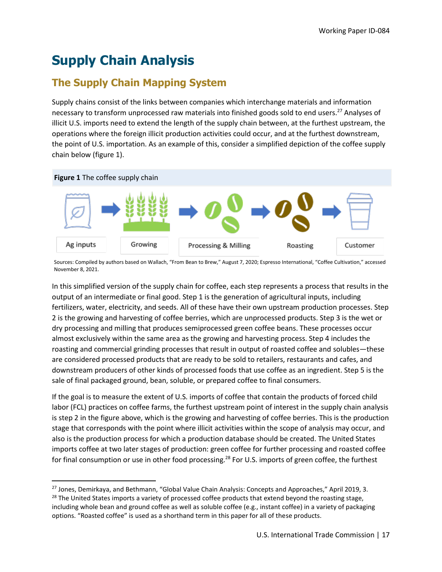# **Supply Chain Analysis**

### **The Supply Chain Mapping System**

Supply chains consist of the links between companies which interchange materials and information necessary to transform unprocessed raw materials into finished goods sold to end users.<sup>27</sup> Analyses of illicit U.S. imports need to extend the length of the supply chain between, at the furthest upstream, the operations where the foreign illicit production activities could occur, and at the furthest downstream, the point of U.S. importation. As an example of this, consider a simplified depiction of the coffee supply chain below (figure 1).



Sources: Compiled by authors based on Wallach, "From Bean to Brew," August 7, 2020; Espresso International, "Coffee Cultivation," accessed November 8, 2021.

In this simplified version of the supply chain for coffee, each step represents a process that results in the output of an intermediate or final good. Step 1 is the generation of agricultural inputs, including fertilizers, water, electricity, and seeds. All of these have their own upstream production processes. Step 2 is the growing and harvesting of coffee berries, which are unprocessed products. Step 3 is the wet or dry processing and milling that produces semiprocessed green coffee beans. These processes occur almost exclusively within the same area as the growing and harvesting process. Step 4 includes the roasting and commercial grinding processes that result in output of roasted coffee and solubles—these are considered processed products that are ready to be sold to retailers, restaurants and cafes, and downstream producers of other kinds of processed foods that use coffee as an ingredient. Step 5 is the sale of final packaged ground, bean, soluble, or prepared coffee to final consumers.

If the goal is to measure the extent of U.S. imports of coffee that contain the products of forced child labor (FCL) practices on coffee farms, the furthest upstream point of interest in the supply chain analysis is step 2 in the figure above, which is the growing and harvesting of coffee berries. This is the production stage that corresponds with the point where illicit activities within the scope of analysis may occur, and also is the production process for which a production database should be created. The United States imports coffee at two later stages of production: green coffee for further processing and roasted coffee for final consumption or use in other food processing.<sup>28</sup> For U.S. imports of green coffee, the furthest

<sup>&</sup>lt;sup>27</sup> Jones, Demirkaya, and Bethmann, "Global Value Chain Analysis: Concepts and Approaches," April 2019, 3.  $28$  The United States imports a variety of processed coffee products that extend beyond the roasting stage, including whole bean and ground coffee as well as soluble coffee (e.g., instant coffee) in a variety of packaging options. "Roasted coffee" is used as a shorthand term in this paper for all of these products.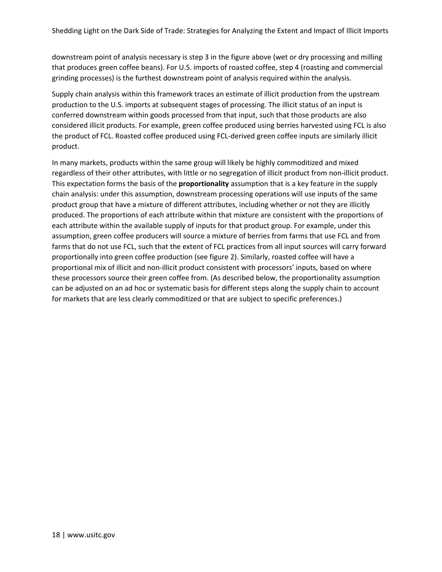downstream point of analysis necessary is step 3 in the figure above (wet or dry processing and milling that produces green coffee beans). For U.S. imports of roasted coffee, step 4 (roasting and commercial grinding processes) is the furthest downstream point of analysis required within the analysis.

Supply chain analysis within this framework traces an estimate of illicit production from the upstream production to the U.S. imports at subsequent stages of processing. The illicit status of an input is conferred downstream within goods processed from that input, such that those products are also considered illicit products. For example, green coffee produced using berries harvested using FCL is also the product of FCL. Roasted coffee produced using FCL-derived green coffee inputs are similarly illicit product.

In many markets, products within the same group will likely be highly commoditized and mixed regardless of their other attributes, with little or no segregation of illicit product from non-illicit product. This expectation forms the basis of the **proportionality** assumption that is a key feature in the supply chain analysis: under this assumption, downstream processing operations will use inputs of the same product group that have a mixture of different attributes, including whether or not they are illicitly produced. The proportions of each attribute within that mixture are consistent with the proportions of each attribute within the available supply of inputs for that product group. For example, under this assumption, green coffee producers will source a mixture of berries from farms that use FCL and from farms that do not use FCL, such that the extent of FCL practices from all input sources will carry forward proportionally into green coffee production (see figure 2). Similarly, roasted coffee will have a proportional mix of illicit and non-illicit product consistent with processors' inputs, based on where these processors source their green coffee from. (As described below, the proportionality assumption can be adjusted on an ad hoc or systematic basis for different steps along the supply chain to account for markets that are less clearly commoditized or that are subject to specific preferences.)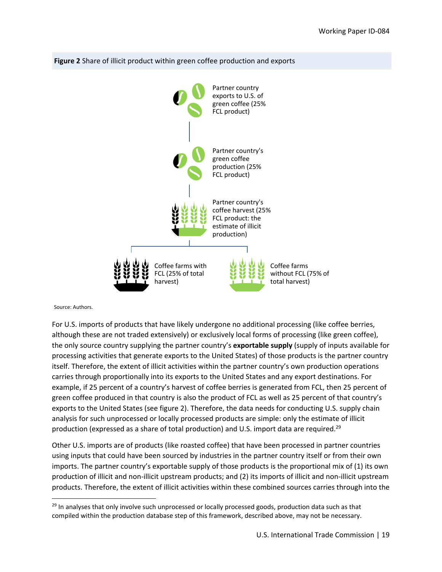

#### **Figure 2** Share of illicit product within green coffee production and exports

Source: Authors.

 For U.S. imports of products that have likely undergone no additional processing (like coffee berries, although these are not traded extensively) or exclusively local forms of processing (like green coffee), the only source country supplying the partner country's **exportable supply** (supply of inputs available for processing activities that generate exports to the United States) of those products is the partner country itself. Therefore, the extent of illicit activities within the partner country's own production operations carries through proportionally into its exports to the United States and any export destinations. For example, if 25 percent of a country's harvest of coffee berries is generated from FCL, then 25 percent of green coffee produced in that country is also the product of FCL as well as 25 percent of that country's exports to the United States (see figure 2). Therefore, the data needs for conducting U.S. supply chain analysis for such unprocessed or locally processed products are simple: only the estimate of illicit production (expressed as a share of total production) and U.S. import data are required.<sup>29</sup>

 Other U.S. imports are of products (like roasted coffee) that have been processed in partner countries using inputs that could have been sourced by industries in the partner country itself or from their own imports. The partner country's exportable supply of those products is the proportional mix of (1) its own production of illicit and non‐illicit upstream products; and (2) its imports of illicit and non‐illicit upstream products. Therefore, the extent of illicit activities within these combined sources carries through into the

<sup>&</sup>lt;sup>29</sup> In analyses that only involve such unprocessed or locally processed goods, production data such as that compiled within the production database step of this framework, described above, may not be necessary.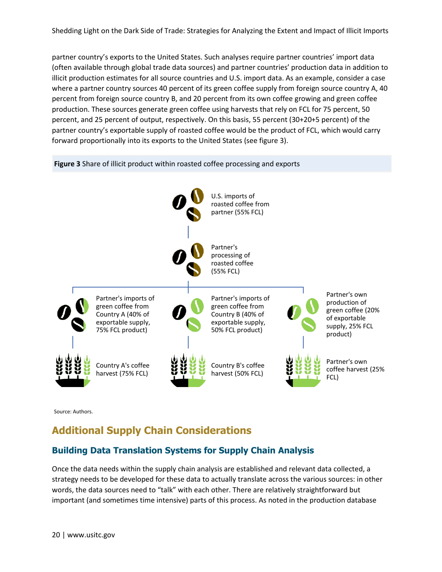partner country's exports to the United States. Such analyses require partner countries' import data (often available through global trade data sources) and partner countries' production data in addition to illicit production estimates for all source countries and U.S. import data. As an example, consider a case where a partner country sources 40 percent of its green coffee supply from foreign source country A, 40 percent from foreign source country B, and 20 percent from its own coffee growing and green coffee production. These sources generate green coffee using harvests that rely on FCL for 75 percent, 50 percent, and 25 percent of output, respectively. On this basis, 55 percent (30+20+5 percent) of the partner country's exportable supply of roasted coffee would be the product of FCL, which would carry forward proportionally into its exports to the United States (see figure 3).

**Figure 3** Share of illicit product within roasted coffee processing and exports



Source: Authors.

### **Additional Supply Chain Considerations**

#### **Building Data Translation Systems for Supply Chain Analysis**

Once the data needs within the supply chain analysis are established and relevant data collected, a strategy needs to be developed for these data to actually translate across the various sources: in other words, the data sources need to "talk" with each other. There are relatively straightforward but important (and sometimes time intensive) parts of this process. As noted in the production database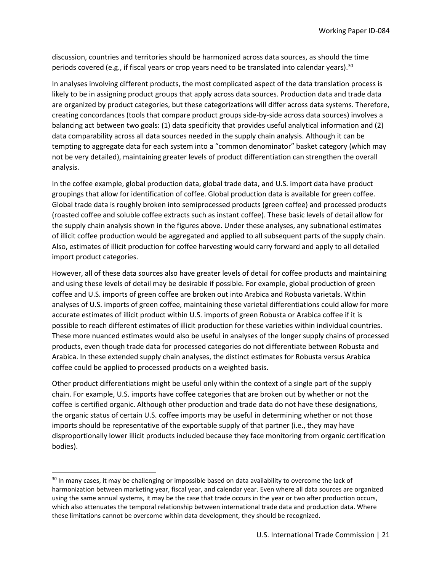discussion, countries and territories should be harmonized across data sources, as should the time periods covered (e.g., if fiscal years or crop years need to be translated into calendar years).<sup>30</sup>

In analyses involving different products, the most complicated aspect of the data translation process is likely to be in assigning product groups that apply across data sources. Production data and trade data are organized by product categories, but these categorizations will differ across data systems. Therefore, creating concordances (tools that compare product groups side-by-side across data sources) involves a balancing act between two goals: (1) data specificity that provides useful analytical information and (2) data comparability across all data sources needed in the supply chain analysis. Although it can be tempting to aggregate data for each system into a "common denominator" basket category (which may not be very detailed), maintaining greater levels of product differentiation can strengthen the overall analysis.

In the coffee example, global production data, global trade data, and U.S. import data have product groupings that allow for identification of coffee. Global production data is available for green coffee. Global trade data is roughly broken into semiprocessed products (green coffee) and processed products (roasted coffee and soluble coffee extracts such as instant coffee). These basic levels of detail allow for the supply chain analysis shown in the figures above. Under these analyses, any subnational estimates of illicit coffee production would be aggregated and applied to all subsequent parts of the supply chain. Also, estimates of illicit production for coffee harvesting would carry forward and apply to all detailed import product categories.

However, all of these data sources also have greater levels of detail for coffee products and maintaining and using these levels of detail may be desirable if possible. For example, global production of green coffee and U.S. imports of green coffee are broken out into Arabica and Robusta varietals. Within analyses of U.S. imports of green coffee, maintaining these varietal differentiations could allow for more accurate estimates of illicit product within U.S. imports of green Robusta or Arabica coffee if it is possible to reach different estimates of illicit production for these varieties within individual countries. These more nuanced estimates would also be useful in analyses of the longer supply chains of processed products, even though trade data for processed categories do not differentiate between Robusta and Arabica. In these extended supply chain analyses, the distinct estimates for Robusta versus Arabica coffee could be applied to processed products on a weighted basis.

Other product differentiations might be useful only within the context of a single part of the supply chain. For example, U.S. imports have coffee categories that are broken out by whether or not the coffee is certified organic. Although other production and trade data do not have these designations, the organic status of certain U.S. coffee imports may be useful in determining whether or not those imports should be representative of the exportable supply of that partner (i.e., they may have disproportionally lower illicit products included because they face monitoring from organic certification bodies).

<sup>&</sup>lt;sup>30</sup> In many cases, it may be challenging or impossible based on data availability to overcome the lack of harmonization between marketing year, fiscal year, and calendar year. Even where all data sources are organized using the same annual systems, it may be the case that trade occurs in the year or two after production occurs, which also attenuates the temporal relationship between international trade data and production data. Where these limitations cannot be overcome within data development, they should be recognized.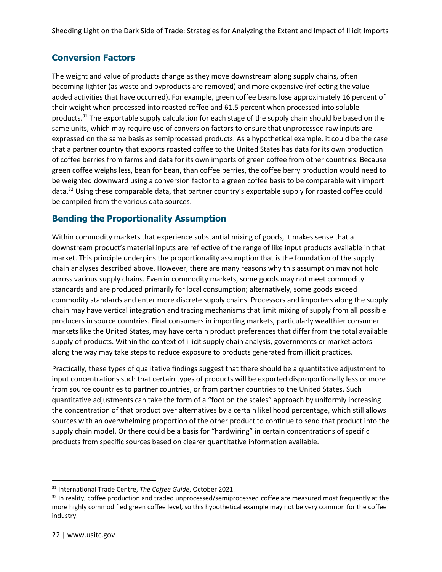#### **Conversion Factors**

The weight and value of products change as they move downstream along supply chains, often becoming lighter (as waste and byproducts are removed) and more expensive (reflecting the valueadded activities that have occurred). For example, green coffee beans lose approximately 16 percent of their weight when processed into roasted coffee and 61.5 percent when processed into soluble products.<sup>31</sup> The exportable supply calculation for each stage of the supply chain should be based on the same units, which may require use of conversion factors to ensure that unprocessed raw inputs are expressed on the same basis as semiprocessed products. As a hypothetical example, it could be the case that a partner country that exports roasted coffee to the United States has data for its own production of coffee berries from farms and data for its own imports of green coffee from other countries. Because green coffee weighs less, bean for bean, than coffee berries, the coffee berry production would need to be weighted downward using a conversion factor to a green coffee basis to be comparable with import data.<sup>32</sup> Using these comparable data, that partner country's exportable supply for roasted coffee could be compiled from the various data sources.

#### **Bending the Proportionality Assumption**

Within commodity markets that experience substantial mixing of goods, it makes sense that a downstream product's material inputs are reflective of the range of like input products available in that market. This principle underpins the proportionality assumption that is the foundation of the supply chain analyses described above. However, there are many reasons why this assumption may not hold across various supply chains. Even in commodity markets, some goods may not meet commodity standards and are produced primarily for local consumption; alternatively, some goods exceed commodity standards and enter more discrete supply chains. Processors and importers along the supply chain may have vertical integration and tracing mechanisms that limit mixing of supply from all possible producers in source countries. Final consumers in importing markets, particularly wealthier consumer markets like the United States, may have certain product preferences that differ from the total available supply of products. Within the context of illicit supply chain analysis, governments or market actors along the way may take steps to reduce exposure to products generated from illicit practices.

Practically, these types of qualitative findings suggest that there should be a quantitative adjustment to input concentrations such that certain types of products will be exported disproportionally less or more from source countries to partner countries, or from partner countries to the United States. Such quantitative adjustments can take the form of a "foot on the scales" approach by uniformly increasing the concentration of that product over alternatives by a certain likelihood percentage, which still allows sources with an overwhelming proportion of the other product to continue to send that product into the supply chain model. Or there could be a basis for "hardwiring" in certain concentrations of specific products from specific sources based on clearer quantitative information available.

<sup>31</sup> International Trade Centre, *The Coffee Guide*, October 2021.

<sup>&</sup>lt;sup>32</sup> In reality, coffee production and traded unprocessed/semiprocessed coffee are measured most frequently at the more highly commodified green coffee level, so this hypothetical example may not be very common for the coffee industry.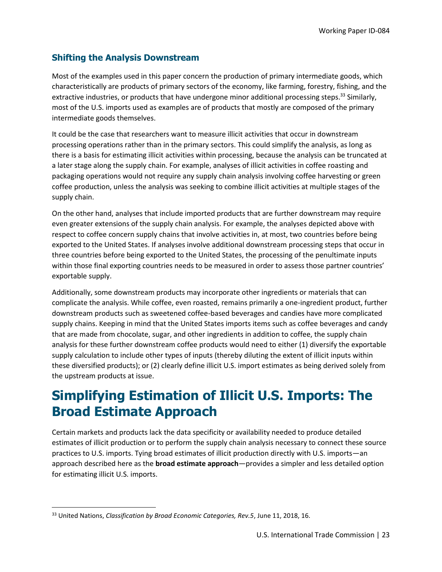#### **Shifting the Analysis Downstream**

Most of the examples used in this paper concern the production of primary intermediate goods, which characteristically are products of primary sectors of the economy, like farming, forestry, fishing, and the extractive industries, or products that have undergone minor additional processing steps.<sup>33</sup> Similarly, most of the U.S. imports used as examples are of products that mostly are composed of the primary intermediate goods themselves.

It could be the case that researchers want to measure illicit activities that occur in downstream processing operations rather than in the primary sectors. This could simplify the analysis, as long as there is a basis for estimating illicit activities within processing, because the analysis can be truncated at a later stage along the supply chain. For example, analyses of illicit activities in coffee roasting and packaging operations would not require any supply chain analysis involving coffee harvesting or green coffee production, unless the analysis was seeking to combine illicit activities at multiple stages of the supply chain.

On the other hand, analyses that include imported products that are further downstream may require even greater extensions of the supply chain analysis. For example, the analyses depicted above with respect to coffee concern supply chains that involve activities in, at most, two countries before being exported to the United States. If analyses involve additional downstream processing steps that occur in three countries before being exported to the United States, the processing of the penultimate inputs within those final exporting countries needs to be measured in order to assess those partner countries' exportable supply.

Additionally, some downstream products may incorporate other ingredients or materials that can complicate the analysis. While coffee, even roasted, remains primarily a one-ingredient product, further downstream products such as sweetened coffee-based beverages and candies have more complicated supply chains. Keeping in mind that the United States imports items such as coffee beverages and candy that are made from chocolate, sugar, and other ingredients in addition to coffee, the supply chain analysis for these further downstream coffee products would need to either (1) diversify the exportable supply calculation to include other types of inputs (thereby diluting the extent of illicit inputs within these diversified products); or (2) clearly define illicit U.S. import estimates as being derived solely from the upstream products at issue.

### **Simplifying Estimation of Illicit U.S. Imports: The Broad Estimate Approach**

Certain markets and products lack the data specificity or availability needed to produce detailed estimates of illicit production or to perform the supply chain analysis necessary to connect these source practices to U.S. imports. Tying broad estimates of illicit production directly with U.S. imports—an approach described here as the **broad estimate approach**—provides a simpler and less detailed option for estimating illicit U.S. imports.

<sup>33</sup> United Nations, *Classification by Broad Economic Categories, Rev.5*, June 11, 2018, 16.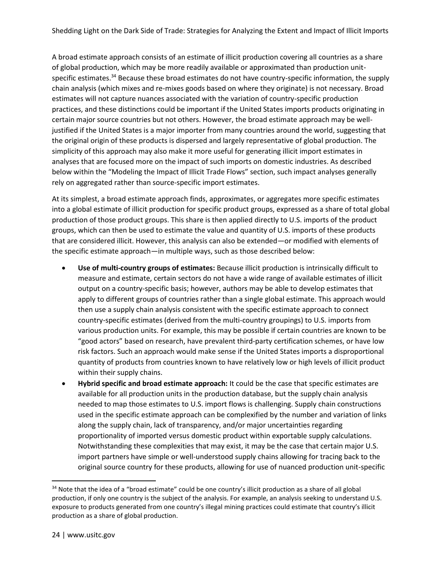A broad estimate approach consists of an estimate of illicit production covering all countries as a share of global production, which may be more readily available or approximated than production unitspecific estimates.<sup>34</sup> Because these broad estimates do not have country-specific information, the supply chain analysis (which mixes and re-mixes goods based on where they originate) is not necessary. Broad estimates will not capture nuances associated with the variation of country-specific production practices, and these distinctions could be important if the United States imports products originating in certain major source countries but not others. However, the broad estimate approach may be welljustified if the United States is a major importer from many countries around the world, suggesting that the original origin of these products is dispersed and largely representative of global production. The simplicity of this approach may also make it more useful for generating illicit import estimates in analyses that are focused more on the impact of such imports on domestic industries. As described below within the "Modeling the Impact of Illicit Trade Flows" section, such impact analyses generally rely on aggregated rather than source-specific import estimates.

At its simplest, a broad estimate approach finds, approximates, or aggregates more specific estimates into a global estimate of illicit production for specific product groups, expressed as a share of total global production of those product groups. This share is then applied directly to U.S. imports of the product groups, which can then be used to estimate the value and quantity of U.S. imports of these products that are considered illicit. However, this analysis can also be extended—or modified with elements of the specific estimate approach—in multiple ways, such as those described below:

- **Use of multi-country groups of estimates:** Because illicit production is intrinsically difficult to measure and estimate, certain sectors do not have a wide range of available estimates of illicit output on a country-specific basis; however, authors may be able to develop estimates that apply to different groups of countries rather than a single global estimate. This approach would then use a supply chain analysis consistent with the specific estimate approach to connect country-specific estimates (derived from the multi-country groupings) to U.S. imports from various production units. For example, this may be possible if certain countries are known to be "good actors" based on research, have prevalent third-party certification schemes, or have low risk factors. Such an approach would make sense if the United States imports a disproportional quantity of products from countries known to have relatively low or high levels of illicit product within their supply chains.
- **Hybrid specific and broad estimate approach:** It could be the case that specific estimates are available for all production units in the production database, but the supply chain analysis needed to map those estimates to U.S. import flows is challenging. Supply chain constructions used in the specific estimate approach can be complexified by the number and variation of links along the supply chain, lack of transparency, and/or major uncertainties regarding proportionality of imported versus domestic product within exportable supply calculations. Notwithstanding these complexities that may exist, it may be the case that certain major U.S. import partners have simple or well-understood supply chains allowing for tracing back to the original source country for these products, allowing for use of nuanced production unit-specific

<sup>&</sup>lt;sup>34</sup> Note that the idea of a "broad estimate" could be one country's illicit production as a share of all global production, if only one country is the subject of the analysis. For example, an analysis seeking to understand U.S. exposure to products generated from one country's illegal mining practices could estimate that country's illicit production as a share of global production.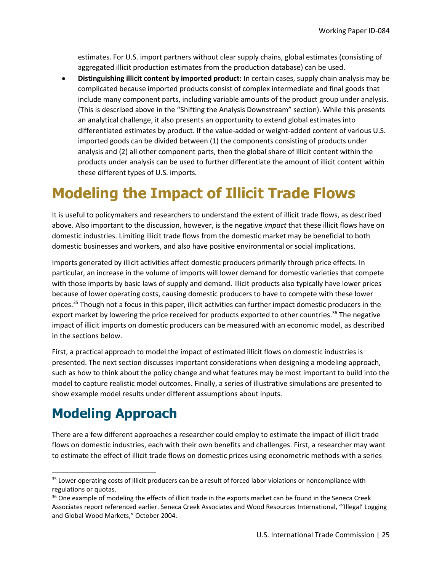estimates. For U.S. import partners without clear supply chains, global estimates (consisting of aggregated illicit production estimates from the production database) can be used.

• **Distinguishing illicit content by imported product:** In certain cases, supply chain analysis may be complicated because imported products consist of complex intermediate and final goods that include many component parts, including variable amounts of the product group under analysis. (This is described above in the "Shifting the Analysis Downstream" section). While this presents an analytical challenge, it also presents an opportunity to extend global estimates into differentiated estimates by product. If the value-added or weight-added content of various U.S. imported goods can be divided between (1) the components consisting of products under analysis and (2) all other component parts, then the global share of illicit content within the products under analysis can be used to further differentiate the amount of illicit content within these different types of U.S. imports.

# **Modeling the Impact of Illicit Trade Flows**

It is useful to policymakers and researchers to understand the extent of illicit trade flows, as described above. Also important to the discussion, however, is the negative *impact* that these illicit flows have on domestic industries. Limiting illicit trade flows from the domestic market may be beneficial to both domestic businesses and workers, and also have positive environmental or social implications.

Imports generated by illicit activities affect domestic producers primarily through price effects. In particular, an increase in the volume of imports will lower demand for domestic varieties that compete with those imports by basic laws of supply and demand. Illicit products also typically have lower prices because of lower operating costs, causing domestic producers to have to compete with these lower prices.<sup>35</sup> Though not a focus in this paper, illicit activities can further impact domestic producers in the export market by lowering the price received for products exported to other countries.<sup>36</sup> The negative impact of illicit imports on domestic producers can be measured with an economic model, as described in the sections below.

First, a practical approach to model the impact of estimated illicit flows on domestic industries is presented. The next section discusses important considerations when designing a modeling approach, such as how to think about the policy change and what features may be most important to build into the model to capture realistic model outcomes. Finally, a series of illustrative simulations are presented to show example model results under different assumptions about inputs.

## **Modeling Approach**

There are a few different approaches a researcher could employ to estimate the impact of illicit trade flows on domestic industries, each with their own benefits and challenges. First, a researcher may want to estimate the effect of illicit trade flows on domestic prices using econometric methods with a series

<sup>&</sup>lt;sup>35</sup> Lower operating costs of illicit producers can be a result of forced labor violations or noncompliance with regulations or quotas.

<sup>&</sup>lt;sup>36</sup> One example of modeling the effects of illicit trade in the exports market can be found in the Seneca Creek Associates report referenced earlier. Seneca Creek Associates and Wood Resources International, "'Illegal' Logging and Global Wood Markets," October 2004.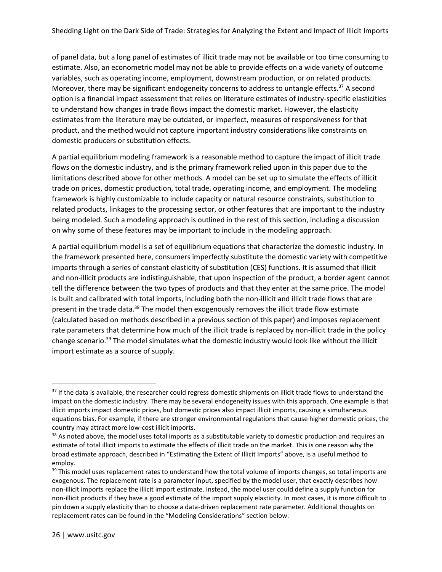of panel data, but a long panel of estimates of illicit trade may not be available or too time consuming to estimate. Also, an econometric model may not be able to provide effects on a wide variety of outcome variables, such as operating income, employment, downstream production, or on related products. Moreover, there may be significant endogeneity concerns to address to untangle effects.<sup>37</sup> A second option is a financial impact assessment that relies on literature estimates of industry-specific elasticities to understand how changes in trade flows impact the domestic market. However, the elasticity estimates from the literature may be outdated, or imperfect, measures of responsiveness for that product, and the method would not capture important industry considerations like constraints on domestic producers or substitution effects.

A partial equilibrium modeling framework is a reasonable method to capture the impact of illicit trade flows on the domestic industry, and is the primary framework relied upon in this paper due to the limitations described above for other methods. A model can be set up to simulate the effects of illicit trade on prices, domestic production, total trade, operating income, and employment. The modeling framework is highly customizable to include capacity or natural resource constraints, substitution to related products, linkages to the processing sector, or other features that are important to the industry being modeled. Such a modeling approach is outlined in the rest of this section, including a discussion on why some of these features may be important to include in the modeling approach.

A partial equilibrium model is a set of equilibrium equations that characterize the domestic industry. In the framework presented here, consumers imperfectly substitute the domestic variety with competitive imports through a series of constant elasticity of substitution (CES) functions. It is assumed that illicit and non-illicit products are indistinguishable, that upon inspection of the product, a border agent cannot tell the difference between the two types of products and that they enter at the same price. The model is built and calibrated with total imports, including both the non-illicit and illicit trade flows that are present in the trade data.<sup>38</sup> The model then exogenously removes the illicit trade flow estimate (calculated based on methods described in a previous section of this paper) and imposes replacement rate parameters that determine how much of the illicit trade is replaced by non-illicit trade in the policy change scenario.<sup>39</sup> The model simulates what the domestic industry would look like without the illicit import estimate as a source of supply.

<sup>&</sup>lt;sup>37</sup> If the data is available, the researcher could regress domestic shipments on illicit trade flows to understand the impact on the domestic industry. There may be several endogeneity issues with this approach. One example is that illicit imports impact domestic prices, but domestic prices also impact illicit imports, causing a simultaneous equations bias. For example, if there are stronger environmental regulations that cause higher domestic prices, the country may attract more low-cost illicit imports.

<sup>&</sup>lt;sup>38</sup> As noted above, the model uses total imports as a substitutable variety to domestic production and requires an estimate of total illicit imports to estimate the effects of illicit trade on the market. This is one reason why the broad estimate approach, described in "Estimating the Extent of Illicit Imports" above, is a useful method to employ.

<sup>&</sup>lt;sup>39</sup> This model uses replacement rates to understand how the total volume of imports changes, so total imports are exogenous. The replacement rate is a parameter input, specified by the model user, that exactly describes how non-illicit imports replace the illicit import estimate. Instead, the model user could define a supply function for non-illicit products if they have a good estimate of the import supply elasticity. In most cases, it is more difficult to pin down a supply elasticity than to choose a data-driven replacement rate parameter. Additional thoughts on replacement rates can be found in the "Modeling Considerations" section below.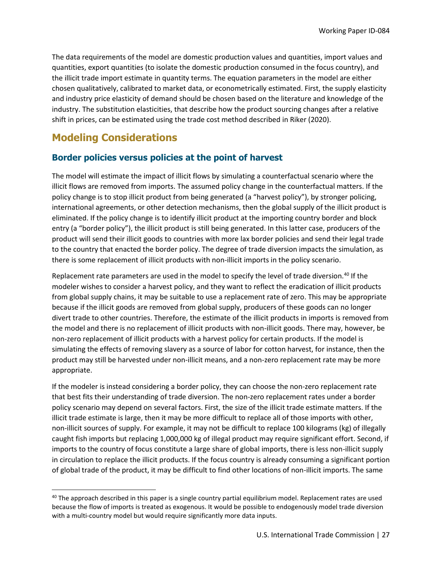The data requirements of the model are domestic production values and quantities, import values and quantities, export quantities (to isolate the domestic production consumed in the focus country), and the illicit trade import estimate in quantity terms. The equation parameters in the model are either chosen qualitatively, calibrated to market data, or econometrically estimated. First, the supply elasticity and industry price elasticity of demand should be chosen based on the literature and knowledge of the industry. The substitution elasticities, that describe how the product sourcing changes after a relative shift in prices, can be estimated using the trade cost method described in Riker (2020).

### **Modeling Considerations**

#### **Border policies versus policies at the point of harvest**

The model will estimate the impact of illicit flows by simulating a counterfactual scenario where the illicit flows are removed from imports. The assumed policy change in the counterfactual matters. If the policy change is to stop illicit product from being generated (a "harvest policy"), by stronger policing, international agreements, or other detection mechanisms, then the global supply of the illicit product is eliminated. If the policy change is to identify illicit product at the importing country border and block entry (a "border policy"), the illicit product is still being generated. In this latter case, producers of the product will send their illicit goods to countries with more lax border policies and send their legal trade to the country that enacted the border policy. The degree of trade diversion impacts the simulation, as there is some replacement of illicit products with non-illicit imports in the policy scenario.

Replacement rate parameters are used in the model to specify the level of trade diversion.<sup>40</sup> If the modeler wishes to consider a harvest policy, and they want to reflect the eradication of illicit products from global supply chains, it may be suitable to use a replacement rate of zero. This may be appropriate because if the illicit goods are removed from global supply, producers of these goods can no longer divert trade to other countries. Therefore, the estimate of the illicit products in imports is removed from the model and there is no replacement of illicit products with non-illicit goods. There may, however, be non-zero replacement of illicit products with a harvest policy for certain products. If the model is simulating the effects of removing slavery as a source of labor for cotton harvest, for instance, then the product may still be harvested under non-illicit means, and a non-zero replacement rate may be more appropriate.

If the modeler is instead considering a border policy, they can choose the non-zero replacement rate that best fits their understanding of trade diversion. The non-zero replacement rates under a border policy scenario may depend on several factors. First, the size of the illicit trade estimate matters. If the illicit trade estimate is large, then it may be more difficult to replace all of those imports with other, non-illicit sources of supply. For example, it may not be difficult to replace 100 kilograms (kg) of illegally caught fish imports but replacing 1,000,000 kg of illegal product may require significant effort. Second, if imports to the country of focus constitute a large share of global imports, there is less non-illicit supply in circulation to replace the illicit products. If the focus country is already consuming a significant portion of global trade of the product, it may be difficult to find other locations of non-illicit imports. The same

<sup>&</sup>lt;sup>40</sup> The approach described in this paper is a single country partial equilibrium model. Replacement rates are used because the flow of imports is treated as exogenous. It would be possible to endogenously model trade diversion with a multi-country model but would require significantly more data inputs.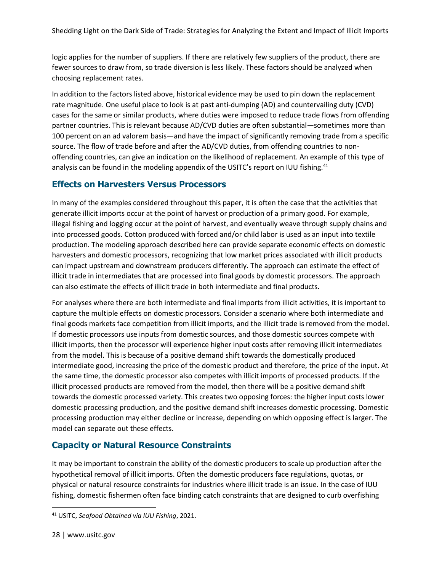logic applies for the number of suppliers. If there are relatively few suppliers of the product, there are fewer sources to draw from, so trade diversion is less likely. These factors should be analyzed when choosing replacement rates.

In addition to the factors listed above, historical evidence may be used to pin down the replacement rate magnitude. One useful place to look is at past anti-dumping (AD) and countervailing duty (CVD) cases for the same or similar products, where duties were imposed to reduce trade flows from offending partner countries. This is relevant because AD/CVD duties are often substantial—sometimes more than 100 percent on an ad valorem basis—and have the impact of significantly removing trade from a specific source. The flow of trade before and after the AD/CVD duties, from offending countries to nonoffending countries, can give an indication on the likelihood of replacement. An example of this type of analysis can be found in the modeling appendix of the USITC's report on IUU fishing.<sup>41</sup>

#### **Effects on Harvesters Versus Processors**

In many of the examples considered throughout this paper, it is often the case that the activities that generate illicit imports occur at the point of harvest or production of a primary good. For example, illegal fishing and logging occur at the point of harvest, and eventually weave through supply chains and into processed goods. Cotton produced with forced and/or child labor is used as an input into textile production. The modeling approach described here can provide separate economic effects on domestic harvesters and domestic processors, recognizing that low market prices associated with illicit products can impact upstream and downstream producers differently. The approach can estimate the effect of illicit trade in intermediates that are processed into final goods by domestic processors. The approach can also estimate the effects of illicit trade in both intermediate and final products.

For analyses where there are both intermediate and final imports from illicit activities, it is important to capture the multiple effects on domestic processors. Consider a scenario where both intermediate and final goods markets face competition from illicit imports, and the illicit trade is removed from the model. If domestic processors use inputs from domestic sources, and those domestic sources compete with illicit imports, then the processor will experience higher input costs after removing illicit intermediates from the model. This is because of a positive demand shift towards the domestically produced intermediate good, increasing the price of the domestic product and therefore, the price of the input. At the same time, the domestic processor also competes with illicit imports of processed products. If the illicit processed products are removed from the model, then there will be a positive demand shift towards the domestic processed variety. This creates two opposing forces: the higher input costs lower domestic processing production, and the positive demand shift increases domestic processing. Domestic processing production may either decline or increase, depending on which opposing effect is larger. The model can separate out these effects.

#### **Capacity or Natural Resource Constraints**

It may be important to constrain the ability of the domestic producers to scale up production after the hypothetical removal of illicit imports. Often the domestic producers face regulations, quotas, or physical or natural resource constraints for industries where illicit trade is an issue. In the case of IUU fishing, domestic fishermen often face binding catch constraints that are designed to curb overfishing

<sup>41</sup> USITC, *Seafood Obtained via IUU Fishing*, 2021.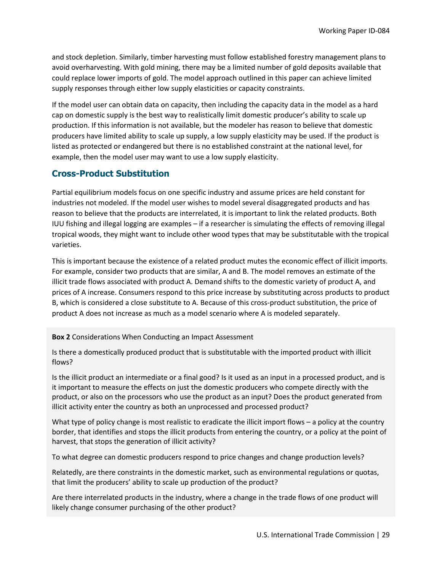and stock depletion. Similarly, timber harvesting must follow established forestry management plans to avoid overharvesting. With gold mining, there may be a limited number of gold deposits available that could replace lower imports of gold. The model approach outlined in this paper can achieve limited supply responses through either low supply elasticities or capacity constraints.

If the model user can obtain data on capacity, then including the capacity data in the model as a hard cap on domestic supply is the best way to realistically limit domestic producer's ability to scale up production. If this information is not available, but the modeler has reason to believe that domestic producers have limited ability to scale up supply, a low supply elasticity may be used. If the product is listed as protected or endangered but there is no established constraint at the national level, for example, then the model user may want to use a low supply elasticity.

#### **Cross-Product Substitution**

Partial equilibrium models focus on one specific industry and assume prices are held constant for industries not modeled. If the model user wishes to model several disaggregated products and has reason to believe that the products are interrelated, it is important to link the related products. Both IUU fishing and illegal logging are examples – if a researcher is simulating the effects of removing illegal tropical woods, they might want to include other wood types that may be substitutable with the tropical varieties.

This is important because the existence of a related product mutes the economic effect of illicit imports. For example, consider two products that are similar, A and B. The model removes an estimate of the illicit trade flows associated with product A. Demand shifts to the domestic variety of product A, and prices of A increase. Consumers respond to this price increase by substituting across products to product B, which is considered a close substitute to A. Because of this cross-product substitution, the price of product A does not increase as much as a model scenario where A is modeled separately.

**Box 2** Considerations When Conducting an Impact Assessment

Is there a domestically produced product that is substitutable with the imported product with illicit flows?

Is the illicit product an intermediate or a final good? Is it used as an input in a processed product, and is it important to measure the effects on just the domestic producers who compete directly with the product, or also on the processors who use the product as an input? Does the product generated from illicit activity enter the country as both an unprocessed and processed product?

What type of policy change is most realistic to eradicate the illicit import flows – a policy at the country border, that identifies and stops the illicit products from entering the country, or a policy at the point of harvest, that stops the generation of illicit activity?

To what degree can domestic producers respond to price changes and change production levels?

Relatedly, are there constraints in the domestic market, such as environmental regulations or quotas, that limit the producers' ability to scale up production of the product?

Are there interrelated products in the industry, where a change in the trade flows of one product will likely change consumer purchasing of the other product?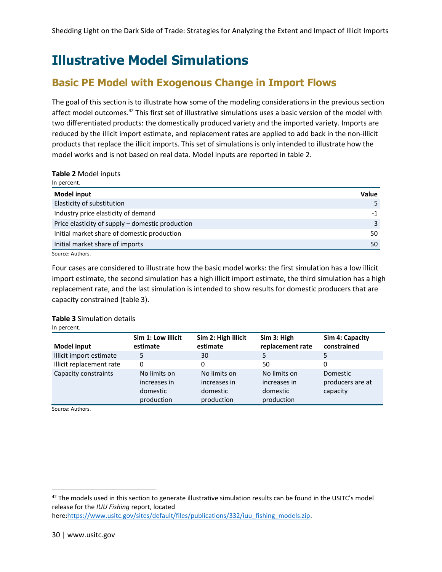### **Illustrative Model Simulations**

### **Basic PE Model with Exogenous Change in Import Flows**

The goal of this section is to illustrate how some of the modeling considerations in the previous section affect model outcomes.<sup>42</sup> This first set of illustrative simulations uses a basic version of the model with two differentiated products: the domestically produced variety and the imported variety. Imports are reduced by the illicit import estimate, and replacement rates are applied to add back in the non-illicit products that replace the illicit imports. This set of simulations is only intended to illustrate how the model works and is not based on real data. Model inputs are reported in table 2.

#### **Table 2** Model inputs

| <b>Value</b> |
|--------------|
|              |
| -1           |
| 3            |
| 50           |
| 50           |
|              |

Source: Authors.

Four cases are considered to illustrate how the basic model works: the first simulation has a low illicit import estimate, the second simulation has a high illicit import estimate, the third simulation has a high replacement rate, and the last simulation is intended to show results for domestic producers that are capacity constrained (table 3).

#### **Table 3** Simulation details

In percent.

|                          | Sim 1: Low illicit                                     | Sim 2: High illicit                                    | Sim 3: High                                            | Sim 4: Capacity                          |
|--------------------------|--------------------------------------------------------|--------------------------------------------------------|--------------------------------------------------------|------------------------------------------|
| <b>Model input</b>       | estimate                                               | estimate                                               | replacement rate                                       | constrained                              |
| Illicit import estimate  | 5                                                      | 30                                                     | 5                                                      | 5                                        |
| Illicit replacement rate | 0                                                      | 0                                                      | 50                                                     | 0                                        |
| Capacity constraints     | No limits on<br>increases in<br>domestic<br>production | No limits on<br>increases in<br>domestic<br>production | No limits on<br>increases in<br>domestic<br>production | Domestic<br>producers are at<br>capacity |

Source: Authors.

 $42$  The models used in this section to generate illustrative simulation results can be found in the USITC's model release for the *IUU Fishing* report, located here[:https://www.usitc.gov/sites/default/files/publications/332/iuu\\_fishing\\_models.zip.](https://www.usitc.gov/sites/default/files/publications/332/iuu_fishing_models.zip)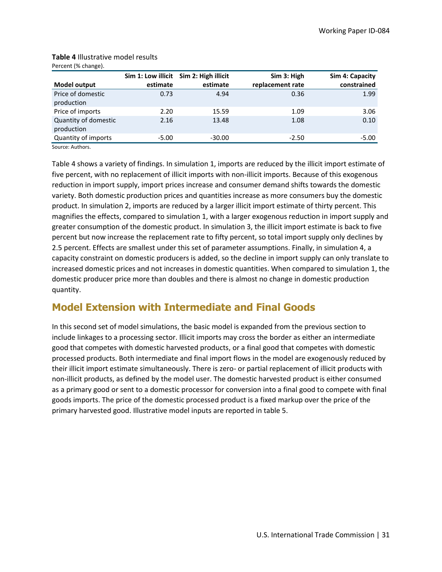|                                    |          | Sim 1: Low illicit Sim 2: High illicit | Sim 3: High      | Sim 4: Capacity |
|------------------------------------|----------|----------------------------------------|------------------|-----------------|
| <b>Model output</b>                | estimate | estimate                               | replacement rate | constrained     |
| Price of domestic<br>production    | 0.73     | 4.94                                   | 0.36             | 1.99            |
| Price of imports                   | 2.20     | 15.59                                  | 1.09             | 3.06            |
| Quantity of domestic<br>production | 2.16     | 13.48                                  | 1.08             | 0.10            |
| Quantity of imports                | $-5.00$  | $-30.00$                               | $-2.50$          | $-5.00$         |

#### **Table 4** Illustrative model results Percent (% change).

Source: Authors.

Table 4 shows a variety of findings. In simulation 1, imports are reduced by the illicit import estimate of five percent, with no replacement of illicit imports with non-illicit imports. Because of this exogenous reduction in import supply, import prices increase and consumer demand shifts towards the domestic variety. Both domestic production prices and quantities increase as more consumers buy the domestic product. In simulation 2, imports are reduced by a larger illicit import estimate of thirty percent. This magnifies the effects, compared to simulation 1, with a larger exogenous reduction in import supply and greater consumption of the domestic product. In simulation 3, the illicit import estimate is back to five percent but now increase the replacement rate to fifty percent, so total import supply only declines by 2.5 percent. Effects are smallest under this set of parameter assumptions. Finally, in simulation 4, a capacity constraint on domestic producers is added, so the decline in import supply can only translate to increased domestic prices and not increases in domestic quantities. When compared to simulation 1, the domestic producer price more than doubles and there is almost no change in domestic production quantity.

### **Model Extension with Intermediate and Final Goods**

In this second set of model simulations, the basic model is expanded from the previous section to include linkages to a processing sector. Illicit imports may cross the border as either an intermediate good that competes with domestic harvested products, or a final good that competes with domestic processed products. Both intermediate and final import flows in the model are exogenously reduced by their illicit import estimate simultaneously. There is zero- or partial replacement of illicit products with non-illicit products, as defined by the model user. The domestic harvested product is either consumed as a primary good or sent to a domestic processor for conversion into a final good to compete with final goods imports. The price of the domestic processed product is a fixed markup over the price of the primary harvested good. Illustrative model inputs are reported in table 5.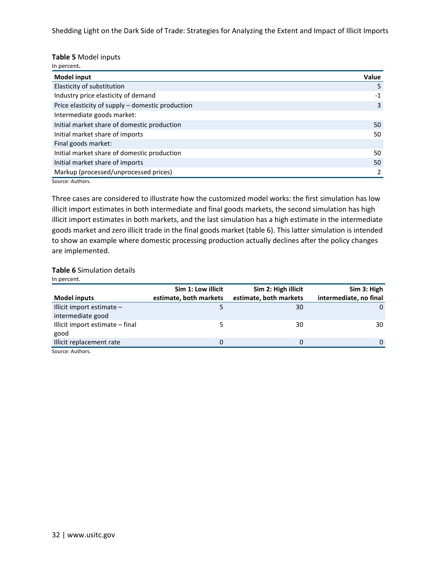#### **Table 5** Model inputs

In percent**.**

| <b>Model input</b>                               | Value |
|--------------------------------------------------|-------|
| Elasticity of substitution                       | 5     |
| Industry price elasticity of demand              | $-1$  |
| Price elasticity of supply - domestic production | 3     |
| Intermediate goods market:                       |       |
| Initial market share of domestic production      | 50    |
| Initial market share of imports                  | 50    |
| Final goods market:                              |       |
| Initial market share of domestic production      | 50    |
| Initial market share of imports                  | 50    |
| Markup (processed/unprocessed prices)            |       |
| Source: Authors                                  |       |

Source: Authors.

Three cases are considered to illustrate how the customized model works: the first simulation has low illicit import estimates in both intermediate and final goods markets, the second simulation has high illicit import estimates in both markets, and the last simulation has a high estimate in the intermediate goods market and zero illicit trade in the final goods market (table 6). This latter simulation is intended to show an example where domestic processing production actually declines after the policy changes are implemented.

#### **Table 6** Simulation details

In percent.

|                                 | Sim 1: Low illicit     | Sim 2: High illicit    | Sim 3: High            |
|---------------------------------|------------------------|------------------------|------------------------|
| <b>Model inputs</b>             | estimate, both markets | estimate, both markets | intermediate, no final |
| Illicit import estimate -       |                        | 30                     | 0                      |
| intermediate good               |                        |                        |                        |
| Illicit import estimate – final |                        | 30                     | 30                     |
| good                            |                        |                        |                        |
| Illicit replacement rate        | 0                      | 0                      | 0                      |
| Source: Authors.                |                        |                        |                        |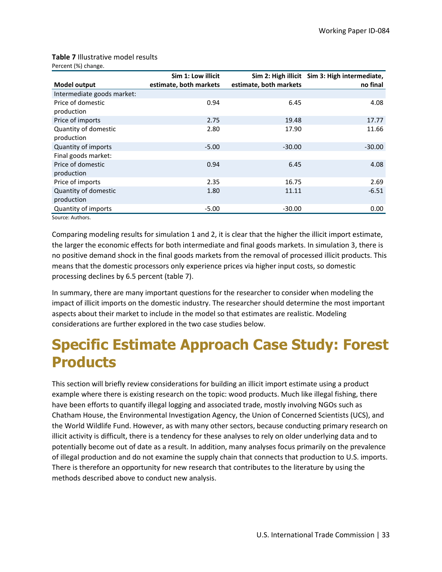#### **Table 7** Illustrative model results Percent (%) change.

|                            | Sim 1: Low illicit     |                        | Sim 2: High illicit Sim 3: High intermediate, |
|----------------------------|------------------------|------------------------|-----------------------------------------------|
| <b>Model output</b>        | estimate, both markets | estimate, both markets | no final                                      |
| Intermediate goods market: |                        |                        |                                               |
| Price of domestic          | 0.94                   | 6.45                   | 4.08                                          |
| production                 |                        |                        |                                               |
| Price of imports           | 2.75                   | 19.48                  | 17.77                                         |
| Quantity of domestic       | 2.80                   | 17.90                  | 11.66                                         |
| production                 |                        |                        |                                               |
| Quantity of imports        | $-5.00$                | $-30.00$               | $-30.00$                                      |
| Final goods market:        |                        |                        |                                               |
| Price of domestic          | 0.94                   | 6.45                   | 4.08                                          |
| production                 |                        |                        |                                               |
| Price of imports           | 2.35                   | 16.75                  | 2.69                                          |
| Quantity of domestic       | 1.80                   | 11.11                  | $-6.51$                                       |
| production                 |                        |                        |                                               |
| Quantity of imports        | $-5.00$                | $-30.00$               | 0.00                                          |

Source: Authors.

Comparing modeling results for simulation 1 and 2, it is clear that the higher the illicit import estimate, the larger the economic effects for both intermediate and final goods markets. In simulation 3, there is no positive demand shock in the final goods markets from the removal of processed illicit products. This means that the domestic processors only experience prices via higher input costs, so domestic processing declines by 6.5 percent (table 7).

In summary, there are many important questions for the researcher to consider when modeling the impact of illicit imports on the domestic industry. The researcher should determine the most important aspects about their market to include in the model so that estimates are realistic. Modeling considerations are further explored in the two case studies below.

# **Specific Estimate Approach Case Study: Forest Products**

This section will briefly review considerations for building an illicit import estimate using a product example where there is existing research on the topic: wood products. Much like illegal fishing, there have been efforts to quantify illegal logging and associated trade, mostly involving NGOs such as Chatham House, the Environmental Investigation Agency, the Union of Concerned Scientists (UCS), and the World Wildlife Fund. However, as with many other sectors, because conducting primary research on illicit activity is difficult, there is a tendency for these analyses to rely on older underlying data and to potentially become out of date as a result. In addition, many analyses focus primarily on the prevalence of illegal production and do not examine the supply chain that connects that production to U.S. imports. There is therefore an opportunity for new research that contributes to the literature by using the methods described above to conduct new analysis.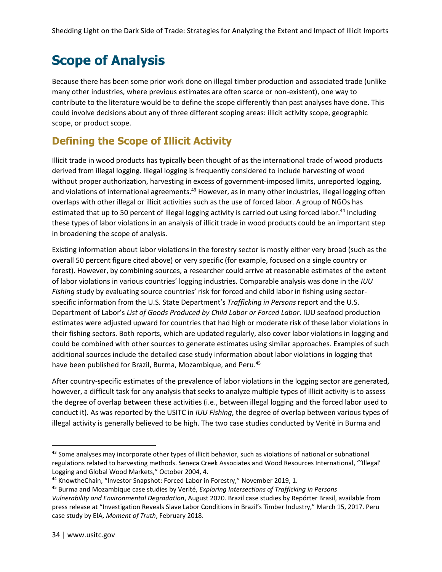### **Scope of Analysis**

Because there has been some prior work done on illegal timber production and associated trade (unlike many other industries, where previous estimates are often scarce or non-existent), one way to contribute to the literature would be to define the scope differently than past analyses have done. This could involve decisions about any of three different scoping areas: illicit activity scope, geographic scope, or product scope.

### **Defining the Scope of Illicit Activity**

Illicit trade in wood products has typically been thought of as the international trade of wood products derived from illegal logging. Illegal logging is frequently considered to include harvesting of wood without proper authorization, harvesting in excess of government-imposed limits, unreported logging, and violations of international agreements.<sup>43</sup> However, as in many other industries, illegal logging often overlaps with other illegal or illicit activities such as the use of forced labor. A group of NGOs has estimated that up to 50 percent of illegal logging activity is carried out using forced labor.<sup>44</sup> Including these types of labor violations in an analysis of illicit trade in wood products could be an important step in broadening the scope of analysis.

Existing information about labor violations in the forestry sector is mostly either very broad (such as the overall 50 percent figure cited above) or very specific (for example, focused on a single country or forest). However, by combining sources, a researcher could arrive at reasonable estimates of the extent of labor violations in various countries' logging industries. Comparable analysis was done in the *IUU Fishing* study by evaluating source countries' risk for forced and child labor in fishing using sectorspecific information from the U.S. State Department's *Trafficking in Persons* report and the U.S. Department of Labor's *List of Goods Produced by Child Labor or Forced Labor*. IUU seafood production estimates were adjusted upward for countries that had high or moderate risk of these labor violations in their fishing sectors. Both reports, which are updated regularly, also cover labor violations in logging and could be combined with other sources to generate estimates using similar approaches. Examples of such additional sources include the detailed case study information about labor violations in logging that have been published for Brazil, Burma, Mozambique, and Peru.<sup>45</sup>

After country-specific estimates of the prevalence of labor violations in the logging sector are generated, however, a difficult task for any analysis that seeks to analyze multiple types of illicit activity is to assess the degree of overlap between these activities (i.e., between illegal logging and the forced labor used to conduct it). As was reported by the USITC in *IUU Fishing*, the degree of overlap between various types of illegal activity is generally believed to be high. The two case studies conducted by Verité in Burma and

<sup>&</sup>lt;sup>43</sup> Some analyses may incorporate other types of illicit behavior, such as violations of national or subnational regulations related to harvesting methods. Seneca Creek Associates and Wood Resources International, "'Illegal' Logging and Global Wood Markets," October 2004, 4.

<sup>44</sup> KnowtheChain, "Investor Snapshot: Forced Labor in Forestry," November 2019, 1.

<sup>45</sup> Burma and Mozambique case studies by Verité, *Exploring Intersections of Trafficking in Persons Vulnerability and Environmental Degradation*, August 2020. Brazil case studies by Repórter Brasil, available from press release at "Investigation Reveals Slave Labor Conditions in Brazil's Timber Industry," March 15, 2017. Peru case study by EIA, *Moment of Truth*, February 2018.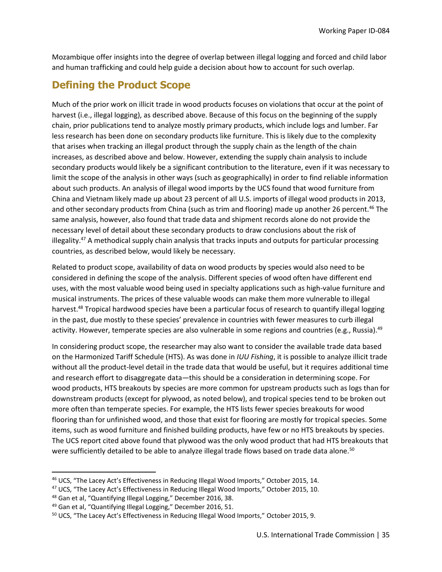Mozambique offer insights into the degree of overlap between illegal logging and forced and child labor and human trafficking and could help guide a decision about how to account for such overlap.

### **Defining the Product Scope**

Much of the prior work on illicit trade in wood products focuses on violations that occur at the point of harvest (i.e., illegal logging), as described above. Because of this focus on the beginning of the supply chain, prior publications tend to analyze mostly primary products, which include logs and lumber. Far less research has been done on secondary products like furniture. This is likely due to the complexity that arises when tracking an illegal product through the supply chain as the length of the chain increases, as described above and below. However, extending the supply chain analysis to include secondary products would likely be a significant contribution to the literature, even if it was necessary to limit the scope of the analysis in other ways (such as geographically) in order to find reliable information about such products. An analysis of illegal wood imports by the UCS found that wood furniture from China and Vietnam likely made up about 23 percent of all U.S. imports of illegal wood products in 2013, and other secondary products from China (such as trim and flooring) made up another 26 percent.<sup>46</sup> The same analysis, however, also found that trade data and shipment records alone do not provide the necessary level of detail about these secondary products to draw conclusions about the risk of illegality.<sup>47</sup> A methodical supply chain analysis that tracks inputs and outputs for particular processing countries, as described below, would likely be necessary.

Related to product scope, availability of data on wood products by species would also need to be considered in defining the scope of the analysis. Different species of wood often have different end uses, with the most valuable wood being used in specialty applications such as high-value furniture and musical instruments. The prices of these valuable woods can make them more vulnerable to illegal harvest.<sup>48</sup> Tropical hardwood species have been a particular focus of research to quantify illegal logging in the past, due mostly to these species' prevalence in countries with fewer measures to curb illegal activity. However, temperate species are also vulnerable in some regions and countries (e.g., Russia).<sup>49</sup>

In considering product scope, the researcher may also want to consider the available trade data based on the Harmonized Tariff Schedule (HTS). As was done in *IUU Fishing*, it is possible to analyze illicit trade without all the product-level detail in the trade data that would be useful, but it requires additional time and research effort to disaggregate data—this should be a consideration in determining scope. For wood products, HTS breakouts by species are more common for upstream products such as logs than for downstream products (except for plywood, as noted below), and tropical species tend to be broken out more often than temperate species. For example, the HTS lists fewer species breakouts for wood flooring than for unfinished wood, and those that exist for flooring are mostly for tropical species. Some items, such as wood furniture and finished building products, have few or no HTS breakouts by species. The UCS report cited above found that plywood was the only wood product that had HTS breakouts that were sufficiently detailed to be able to analyze illegal trade flows based on trade data alone.<sup>50</sup>

<sup>46</sup> UCS, "The Lacey Act's Effectiveness in Reducing Illegal Wood Imports," October 2015, 14.

<sup>&</sup>lt;sup>47</sup> UCS, "The Lacey Act's Effectiveness in Reducing Illegal Wood Imports," October 2015, 10.

<sup>48</sup> Gan et al, "Quantifying Illegal Logging," December 2016, 38.

<sup>&</sup>lt;sup>49</sup> Gan et al, "Quantifying Illegal Logging," December 2016, 51.

<sup>&</sup>lt;sup>50</sup> UCS, "The Lacey Act's Effectiveness in Reducing Illegal Wood Imports," October 2015, 9.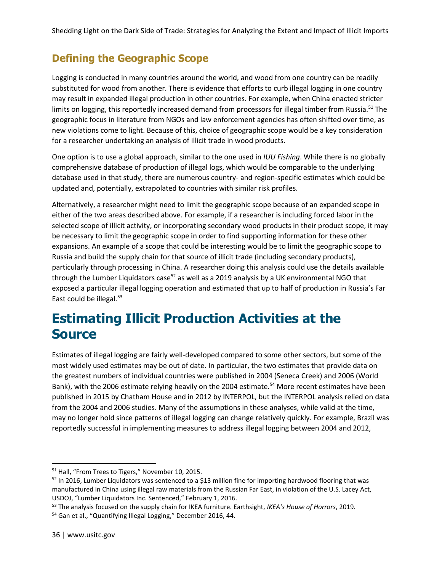### **Defining the Geographic Scope**

Logging is conducted in many countries around the world, and wood from one country can be readily substituted for wood from another. There is evidence that efforts to curb illegal logging in one country may result in expanded illegal production in other countries. For example, when China enacted stricter limits on logging, this reportedly increased demand from processors for illegal timber from Russia.<sup>51</sup> The geographic focus in literature from NGOs and law enforcement agencies has often shifted over time, as new violations come to light. Because of this, choice of geographic scope would be a key consideration for a researcher undertaking an analysis of illicit trade in wood products.

One option is to use a global approach, similar to the one used in *IUU Fishing*. While there is no globally comprehensive database of production of illegal logs, which would be comparable to the underlying database used in that study, there are numerous country- and region-specific estimates which could be updated and, potentially, extrapolated to countries with similar risk profiles.

Alternatively, a researcher might need to limit the geographic scope because of an expanded scope in either of the two areas described above. For example, if a researcher is including forced labor in the selected scope of illicit activity, or incorporating secondary wood products in their product scope, it may be necessary to limit the geographic scope in order to find supporting information for these other expansions. An example of a scope that could be interesting would be to limit the geographic scope to Russia and build the supply chain for that source of illicit trade (including secondary products), particularly through processing in China. A researcher doing this analysis could use the details available through the Lumber Liquidators case<sup>52</sup> as well as a 2019 analysis by a UK environmental NGO that exposed a particular illegal logging operation and estimated that up to half of production in Russia's Far East could be illegal.<sup>53</sup>

### **Estimating Illicit Production Activities at the Source**

Estimates of illegal logging are fairly well-developed compared to some other sectors, but some of the most widely used estimates may be out of date. In particular, the two estimates that provide data on the greatest numbers of individual countries were published in 2004 (Seneca Creek) and 2006 (World Bank), with the 2006 estimate relying heavily on the 2004 estimate.<sup>54</sup> More recent estimates have been published in 2015 by Chatham House and in 2012 by INTERPOL, but the INTERPOL analysis relied on data from the 2004 and 2006 studies. Many of the assumptions in these analyses, while valid at the time, may no longer hold since patterns of illegal logging can change relatively quickly. For example, Brazil was reportedly successful in implementing measures to address illegal logging between 2004 and 2012,

<sup>&</sup>lt;sup>51</sup> Hall, "From Trees to Tigers," November 10, 2015.

<sup>52</sup> In 2016, Lumber Liquidators was sentenced to a \$13 million fine for importing hardwood flooring that was manufactured in China using illegal raw materials from the Russian Far East, in violation of the U.S. Lacey Act, USDOJ, "Lumber Liquidators Inc. Sentenced," February 1, 2016.

<sup>53</sup> The analysis focused on the supply chain for IKEA furniture. Earthsight, *IKEA's House of Horrors*, 2019.

<sup>54</sup> Gan et al., "Quantifying Illegal Logging," December 2016, 44.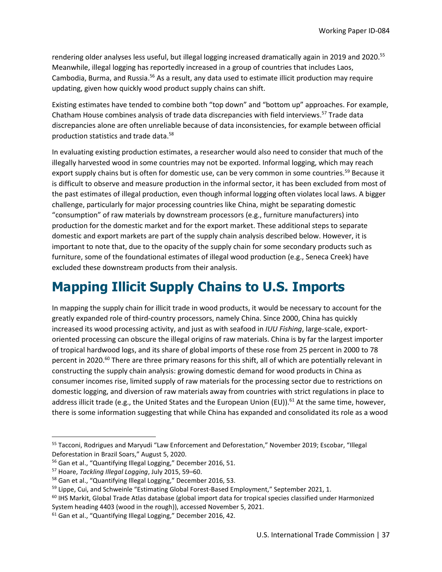rendering older analyses less useful, but illegal logging increased dramatically again in 2019 and 2020.<sup>55</sup> Meanwhile, illegal logging has reportedly increased in a group of countries that includes Laos, Cambodia, Burma, and Russia.<sup>56</sup> As a result, any data used to estimate illicit production may require updating, given how quickly wood product supply chains can shift.

Existing estimates have tended to combine both "top down" and "bottom up" approaches. For example, Chatham House combines analysis of trade data discrepancies with field interviews.<sup>57</sup> Trade data discrepancies alone are often unreliable because of data inconsistencies, for example between official production statistics and trade data.<sup>58</sup>

In evaluating existing production estimates, a researcher would also need to consider that much of the illegally harvested wood in some countries may not be exported. Informal logging, which may reach export supply chains but is often for domestic use, can be very common in some countries.<sup>59</sup> Because it is difficult to observe and measure production in the informal sector, it has been excluded from most of the past estimates of illegal production, even though informal logging often violates local laws. A bigger challenge, particularly for major processing countries like China, might be separating domestic "consumption" of raw materials by downstream processors (e.g., furniture manufacturers) into production for the domestic market and for the export market. These additional steps to separate domestic and export markets are part of the supply chain analysis described below. However, it is important to note that, due to the opacity of the supply chain for some secondary products such as furniture, some of the foundational estimates of illegal wood production (e.g., Seneca Creek) have excluded these downstream products from their analysis.

# **Mapping Illicit Supply Chains to U.S. Imports**

In mapping the supply chain for illicit trade in wood products, it would be necessary to account for the greatly expanded role of third-country processors, namely China. Since 2000, China has quickly increased its wood processing activity, and just as with seafood in *IUU Fishing*, large-scale, exportoriented processing can obscure the illegal origins of raw materials. China is by far the largest importer of tropical hardwood logs, and its share of global imports of these rose from 25 percent in 2000 to 78 percent in 2020.<sup>60</sup> There are three primary reasons for this shift, all of which are potentially relevant in constructing the supply chain analysis: growing domestic demand for wood products in China as consumer incomes rise, limited supply of raw materials for the processing sector due to restrictions on domestic logging, and diversion of raw materials away from countries with strict regulations in place to address illicit trade (e.g., the United States and the European Union (EU)).<sup>61</sup> At the same time, however, there is some information suggesting that while China has expanded and consolidated its role as a wood

<sup>&</sup>lt;sup>55</sup> Tacconi, Rodrigues and Maryudi "Law Enforcement and Deforestation," November 2019; Escobar, "Illegal Deforestation in Brazil Soars," August 5, 2020.

<sup>56</sup> Gan et al., "Quantifying Illegal Logging," December 2016, 51.

<sup>57</sup> Hoare, *Tackling Illegal Logging*, July 2015, 59–60.

<sup>58</sup> Gan et al., "Quantifying Illegal Logging," December 2016, 53.

 $59$  Lippe, Cui, and Schweinle "Estimating Global Forest-Based Employment," September 2021, 1.

 $60$  IHS Markit, Global Trade Atlas database (global import data for tropical species classified under Harmonized System heading 4403 (wood in the rough)), accessed November 5, 2021.

<sup>61</sup> Gan et al., "Quantifying Illegal Logging," December 2016, 42.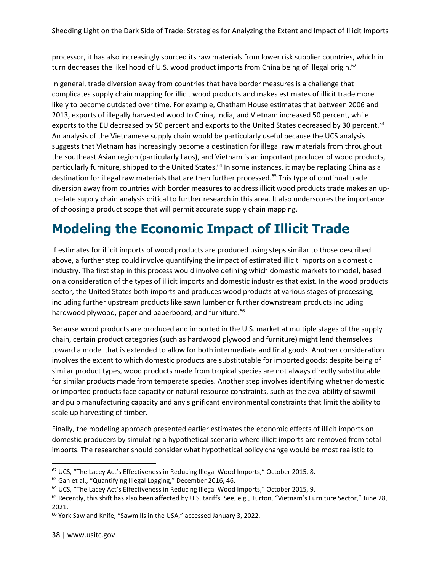processor, it has also increasingly sourced its raw materials from lower risk supplier countries, which in turn decreases the likelihood of U.S. wood product imports from China being of illegal origin.<sup>62</sup>

In general, trade diversion away from countries that have border measures is a challenge that complicates supply chain mapping for illicit wood products and makes estimates of illicit trade more likely to become outdated over time. For example, Chatham House estimates that between 2006 and 2013, exports of illegally harvested wood to China, India, and Vietnam increased 50 percent, while exports to the EU decreased by 50 percent and exports to the United States decreased by 30 percent.<sup>63</sup> An analysis of the Vietnamese supply chain would be particularly useful because the UCS analysis suggests that Vietnam has increasingly become a destination for illegal raw materials from throughout the southeast Asian region (particularly Laos), and Vietnam is an important producer of wood products, particularly furniture, shipped to the United States.<sup>64</sup> In some instances, it may be replacing China as a destination for illegal raw materials that are then further processed.<sup>65</sup> This type of continual trade diversion away from countries with border measures to address illicit wood products trade makes an upto-date supply chain analysis critical to further research in this area. It also underscores the importance of choosing a product scope that will permit accurate supply chain mapping.

## **Modeling the Economic Impact of Illicit Trade**

If estimates for illicit imports of wood products are produced using steps similar to those described above, a further step could involve quantifying the impact of estimated illicit imports on a domestic industry. The first step in this process would involve defining which domestic markets to model, based on a consideration of the types of illicit imports and domestic industries that exist. In the wood products sector, the United States both imports and produces wood products at various stages of processing, including further upstream products like sawn lumber or further downstream products including hardwood plywood, paper and paperboard, and furniture.<sup>66</sup>

Because wood products are produced and imported in the U.S. market at multiple stages of the supply chain, certain product categories (such as hardwood plywood and furniture) might lend themselves toward a model that is extended to allow for both intermediate and final goods. Another consideration involves the extent to which domestic products are substitutable for imported goods: despite being of similar product types, wood products made from tropical species are not always directly substitutable for similar products made from temperate species. Another step involves identifying whether domestic or imported products face capacity or natural resource constraints, such as the availability of sawmill and pulp manufacturing capacity and any significant environmental constraints that limit the ability to scale up harvesting of timber.

Finally, the modeling approach presented earlier estimates the economic effects of illicit imports on domestic producers by simulating a hypothetical scenario where illicit imports are removed from total imports. The researcher should consider what hypothetical policy change would be most realistic to

 $62$  UCS, "The Lacey Act's Effectiveness in Reducing Illegal Wood Imports," October 2015, 8.

<sup>63</sup> Gan et al., "Quantifying Illegal Logging," December 2016, 46.

 $64$  UCS, "The Lacey Act's Effectiveness in Reducing Illegal Wood Imports," October 2015, 9.

<sup>65</sup> Recently, this shift has also been affected by U.S. tariffs. See, e.g., Turton, "Vietnam's Furniture Sector," June 28, 2021.

<sup>&</sup>lt;sup>66</sup> York Saw and Knife, "Sawmills in the USA," accessed January 3, 2022.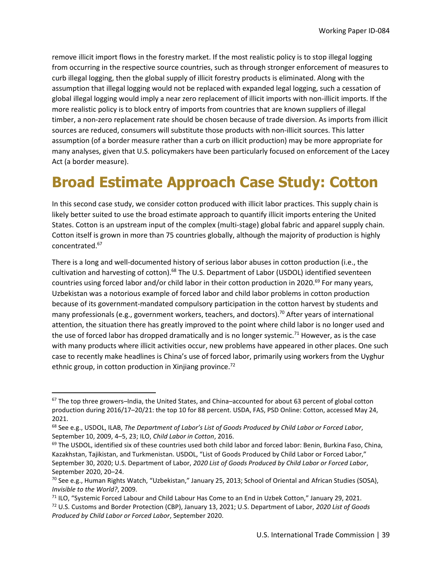remove illicit import flows in the forestry market. If the most realistic policy is to stop illegal logging from occurring in the respective source countries, such as through stronger enforcement of measures to curb illegal logging, then the global supply of illicit forestry products is eliminated. Along with the assumption that illegal logging would not be replaced with expanded legal logging, such a cessation of global illegal logging would imply a near zero replacement of illicit imports with non-illicit imports. If the more realistic policy is to block entry of imports from countries that are known suppliers of illegal timber, a non-zero replacement rate should be chosen because of trade diversion. As imports from illicit sources are reduced, consumers will substitute those products with non-illicit sources. This latter assumption (of a border measure rather than a curb on illicit production) may be more appropriate for many analyses, given that U.S. policymakers have been particularly focused on enforcement of the Lacey Act (a border measure).

# **Broad Estimate Approach Case Study: Cotton**

In this second case study, we consider cotton produced with illicit labor practices. This supply chain is likely better suited to use the broad estimate approach to quantify illicit imports entering the United States. Cotton is an upstream input of the complex (multi-stage) global fabric and apparel supply chain. Cotton itself is grown in more than 75 countries globally, although the majority of production is highly concentrated.<sup>67</sup>

There is a long and well-documented history of serious labor abuses in cotton production (i.e., the cultivation and harvesting of cotton).<sup>68</sup> The U.S. Department of Labor (USDOL) identified seventeen countries using forced labor and/or child labor in their cotton production in 2020.<sup>69</sup> For many years, Uzbekistan was a notorious example of forced labor and child labor problems in cotton production because of its government-mandated compulsory participation in the cotton harvest by students and many professionals (e.g., government workers, teachers, and doctors).<sup>70</sup> After years of international attention, the situation there has greatly improved to the point where child labor is no longer used and the use of forced labor has dropped dramatically and is no longer systemic.<sup>71</sup> However, as is the case with many products where illicit activities occur, new problems have appeared in other places. One such case to recently make headlines is China's use of forced labor, primarily using workers from the Uyghur ethnic group, in cotton production in Xinjiang province. $72$ 

<sup>67</sup> The top three growers–India, the United States, and China–accounted for about 63 percent of global cotton production during 2016/17–20/21: the top 10 for 88 percent. USDA, FAS, PSD Online: Cotton, accessed May 24, 2021.

<sup>68</sup> See e.g., USDOL, ILAB, *The Department of Labor's List of Goods Produced by Child Labor or Forced Labor*, September 10, 2009, 4–5, 23; ILO, *Child Labor in Cotton*, 2016.

 $69$  The USDOL, identified six of these countries used both child labor and forced labor: Benin, Burkina Faso, China, Kazakhstan, Tajikistan, and Turkmenistan. USDOL, "List of Goods Produced by Child Labor or Forced Labor," September 30, 2020; U.S. Department of Labor, *2020 List of Goods Produced by Child Labor or Forced Labor*, September 2020, 20–24.

 $^{70}$  See e.g., Human Rights Watch, "Uzbekistan," January 25, 2013; School of Oriental and African Studies (SOSA), *Invisible to the World?*, 2009.

<sup>71</sup> ILO, "Systemic Forced Labour and Child Labour Has Come to an End in Uzbek Cotton," January 29, 2021. <sup>72</sup> U.S. Customs and Border Protection (CBP), January 13, 2021; U.S. Department of Labor, *2020 List of Goods Produced by Child Labor or Forced Labor*, September 2020.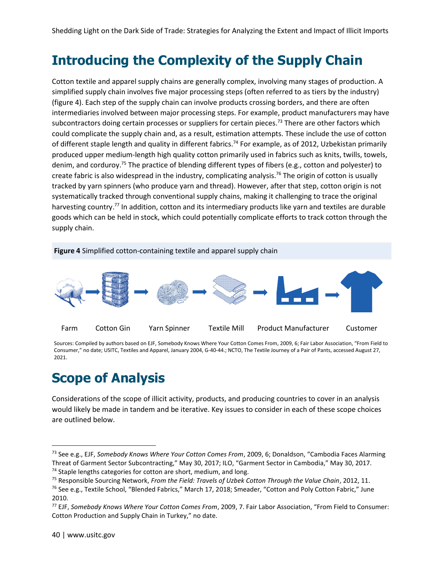### **Introducing the Complexity of the Supply Chain**

Cotton textile and apparel supply chains are generally complex, involving many stages of production. A simplified supply chain involves five major processing steps (often referred to as tiers by the industry) (figure 4). Each step of the supply chain can involve products crossing borders, and there are often intermediaries involved between major processing steps. For example, product manufacturers may have subcontractors doing certain processes or suppliers for certain pieces.<sup>73</sup> There are other factors which could complicate the supply chain and, as a result, estimation attempts. These include the use of cotton of different staple length and quality in different fabrics.<sup>74</sup> For example, as of 2012, Uzbekistan primarily produced upper medium-length high quality cotton primarily used in fabrics such as knits, twills, towels, denim, and corduroy.<sup>75</sup> The practice of blending different types of fibers (e.g., cotton and polyester) to create fabric is also widespread in the industry, complicating analysis.<sup>76</sup> The origin of cotton is usually tracked by yarn spinners (who produce yarn and thread). However, after that step, cotton origin is not systematically tracked through conventional supply chains, making it challenging to trace the original harvesting country.<sup>77</sup> In addition, cotton and its intermediary products like yarn and textiles are durable goods which can be held in stock, which could potentially complicate efforts to track cotton through the supply chain.



Sources: Compiled by authors based on EJF, Somebody Knows Where Your Cotton Comes From, 2009, 6; Fair Labor Association, "From Field to Consumer," no date; USITC, Textiles and Apparel, January 2004, G-40-44.; NCTO, The Textile Journey of a Pair of Pants, accessed August 27, 2021.

### **Scope of Analysis**

Considerations of the scope of illicit activity, products, and producing countries to cover in an analysis would likely be made in tandem and be iterative. Key issues to consider in each of these scope choices are outlined below.

<sup>73</sup> See e.g., EJF, *Somebody Knows Where Your Cotton Comes From*, 2009, 6; Donaldson, "Cambodia Faces Alarming Threat of Garment Sector Subcontracting," May 30, 2017; ILO, "Garment Sector in Cambodia," May 30, 2017. <sup>74</sup> Staple lengths categories for cotton are short, medium, and long.

<sup>75</sup> Responsible Sourcing Network, *From the Field: Travels of Uzbek Cotton Through the Value Chain*, 2012, 11.

<sup>&</sup>lt;sup>76</sup> See e.g., Textile School, "Blended Fabrics," March 17, 2018; Smeader, "Cotton and Poly Cotton Fabric," June 2010.

<sup>77</sup> EJF, *Somebody Knows Where Your Cotton Comes From*, 2009, 7. Fair Labor Association, "From Field to Consumer: Cotton Production and Supply Chain in Turkey," no date.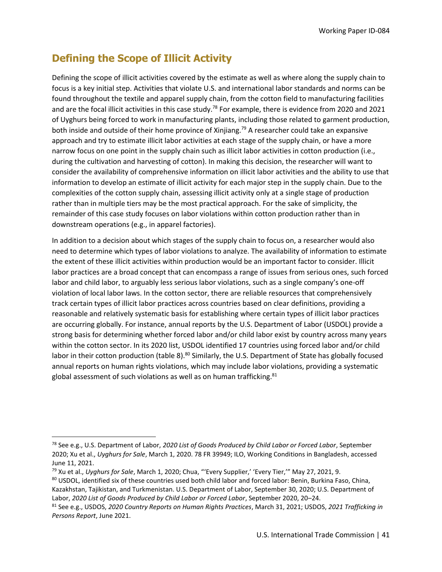### **Defining the Scope of Illicit Activity**

Defining the scope of illicit activities covered by the estimate as well as where along the supply chain to focus is a key initial step. Activities that violate U.S. and international labor standards and norms can be found throughout the textile and apparel supply chain, from the cotton field to manufacturing facilities and are the focal illicit activities in this case study.<sup>78</sup> For example, there is evidence from 2020 and 2021 of Uyghurs being forced to work in manufacturing plants, including those related to garment production, both inside and outside of their home province of Xinjiang.<sup>79</sup> A researcher could take an expansive approach and try to estimate illicit labor activities at each stage of the supply chain, or have a more narrow focus on one point in the supply chain such as illicit labor activities in cotton production (i.e., during the cultivation and harvesting of cotton). In making this decision, the researcher will want to consider the availability of comprehensive information on illicit labor activities and the ability to use that information to develop an estimate of illicit activity for each major step in the supply chain. Due to the complexities of the cotton supply chain, assessing illicit activity only at a single stage of production rather than in multiple tiers may be the most practical approach. For the sake of simplicity, the remainder of this case study focuses on labor violations within cotton production rather than in downstream operations (e.g., in apparel factories).

In addition to a decision about which stages of the supply chain to focus on, a researcher would also need to determine which types of labor violations to analyze. The availability of information to estimate the extent of these illicit activities within production would be an important factor to consider. Illicit labor practices are a broad concept that can encompass a range of issues from serious ones, such forced labor and child labor, to arguably less serious labor violations, such as a single company's one-off violation of local labor laws. In the cotton sector, there are reliable resources that comprehensively track certain types of illicit labor practices across countries based on clear definitions, providing a reasonable and relatively systematic basis for establishing where certain types of illicit labor practices are occurring globally. For instance, annual reports by the U.S. Department of Labor (USDOL) provide a strong basis for determining whether forced labor and/or child labor exist by country across many years within the cotton sector. In its 2020 list, USDOL identified 17 countries using forced labor and/or child labor in their cotton production (table 8).<sup>80</sup> Similarly, the U.S. Department of State has globally focused annual reports on human rights violations, which may include labor violations, providing a systematic global assessment of such violations as well as on human trafficking.<sup>81</sup>

<sup>78</sup> See e.g., U.S. Department of Labor, *2020 List of Goods Produced by Child Labor or Forced Labor*, September 2020; Xu et al., *Uyghurs for Sale*, March 1, 2020. 78 FR 39949; ILO, Working Conditions in Bangladesh, accessed June 11, 2021.

<sup>79</sup> Xu et al., *Uyghurs for Sale*, March 1, 2020; Chua, "'Every Supplier,' 'Every Tier,'" May 27, 2021, 9.

<sup>80</sup> USDOL, identified six of these countries used both child labor and forced labor: Benin, Burkina Faso, China, Kazakhstan, Tajikistan, and Turkmenistan. U.S. Department of Labor, September 30, 2020; U.S. Department of Labor, *2020 List of Goods Produced by Child Labor or Forced Labor*, September 2020, 20–24.

<sup>81</sup> See e.g., USDOS, *2020 Country Reports on Human Rights Practices*, March 31, 2021; USDOS, *2021 Trafficking in Persons Report*, June 2021.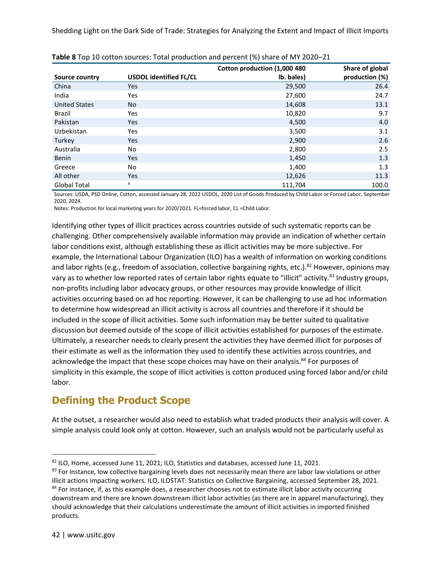|                      |                               | Cotton production (1,000 480 | Share of global |
|----------------------|-------------------------------|------------------------------|-----------------|
| Source country       | <b>USDOL identified FL/CL</b> | lb. bales)                   | production (%)  |
| China                | <b>Yes</b>                    | 29,500                       | 26.4            |
| India                | <b>Yes</b>                    | 27,600                       | 24.7            |
| <b>United States</b> | <b>No</b>                     | 14,608                       | 13.1            |
| <b>Brazil</b>        | Yes                           | 10,820                       | 9.7             |
| Pakistan             | <b>Yes</b>                    | 4,500                        | 4.0             |
| Uzbekistan           | Yes                           | 3,500                        | 3.1             |
| Turkey               | <b>Yes</b>                    | 2,900                        | 2.6             |
| Australia            | No                            | 2,800                        | 2.5             |
| Benin                | <b>Yes</b>                    | 1,450                        | 1.3             |
| Greece               | No                            | 1,400                        | 1.3             |
| All other            | <b>Yes</b>                    | 12,626                       | 11.3            |
| <b>Global Total</b>  | a                             | 111,704                      | 100.0           |

|  |  | Table 8 Top 10 cotton sources: Total production and percent (%) share of MY 2020-21 |
|--|--|-------------------------------------------------------------------------------------|
|--|--|-------------------------------------------------------------------------------------|

Sources: USDA, PSD Online, Cotton, accessed January 28, 2022 USDOL, 2020 List of Goods Produced by Child Labor or Forced Labor, September 2020, 2024.

Notes: Production for local marketing years for 2020/2021. FL=forced labor, CL =Child Labor.

Identifying other types of illicit practices across countries outside of such systematic reports can be challenging. Other comprehensively available information may provide an indication of whether certain labor conditions exist, although establishing these as illicit activities may be more subjective. For example, the International Labour Organization (ILO) has a wealth of information on working conditions and labor rights (e.g., freedom of association, collective bargaining rights, etc.).<sup>82</sup> However, opinions may vary as to whether low reported rates of certain labor rights equate to "illicit" activity.<sup>83</sup> Industry groups, non-profits including labor advocacy groups, or other resources may provide knowledge of illicit activities occurring based on ad hoc reporting. However, it can be challenging to use ad hoc information to determine how widespread an illicit activity is across all countries and therefore if it should be included in the scope of illicit activities. Some such information may be better suited to qualitative discussion but deemed outside of the scope of illicit activities established for purposes of the estimate. Ultimately, a researcher needs to clearly present the activities they have deemed illicit for purposes of their estimate as well as the information they used to identify these activities across countries, and acknowledge the impact that these scope choices may have on their analysis.<sup>84</sup> For purposes of simplicity in this example, the scope of illicit activities is cotton produced using forced labor and/or child labor.

### **Defining the Product Scope**

At the outset, a researcher would also need to establish what traded products their analysis will cover. A simple analysis could look only at cotton. However, such an analysis would not be particularly useful as

<sup>82</sup> ILO, Home, accessed June 11, 2021; ILO, Statistics and databases, accessed June 11, 2021.

<sup>83</sup> For instance, low collective bargaining levels does not necessarily mean there are labor law violations or other illicit actions impacting workers. ILO, ILOSTAT: Statistics on Collective Bargaining, accessed September 28, 2021. <sup>84</sup> For instance, if, as this example does, a researcher chooses not to estimate illicit labor activity occurring downstream and there are known downstream illicit labor activities (as there are in apparel manufacturing), they should acknowledge that their calculations underestimate the amount of illicit activities in imported finished products.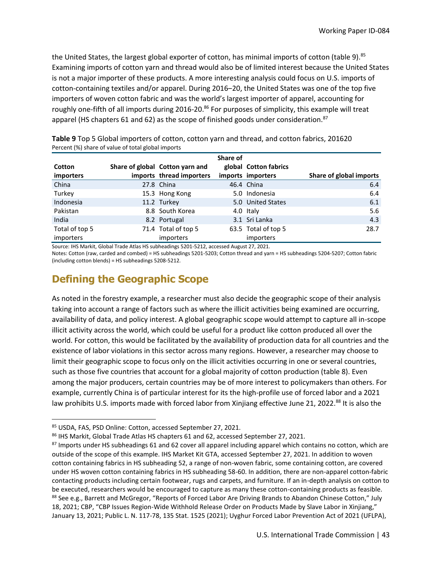the United States, the largest global exporter of cotton, has minimal imports of cotton (table 9).<sup>85</sup> Examining imports of cotton yarn and thread would also be of limited interest because the United States is not a major importer of these products. A more interesting analysis could focus on U.S. imports of cotton-containing textiles and/or apparel. During 2016–20, the United States was one of the top five importers of woven cotton fabric and was the world's largest importer of apparel, accounting for roughly one-fifth of all imports during 2016-20.<sup>86</sup> For purposes of simplicity, this example will treat apparel (HS chapters 61 and 62) as the scope of finished goods under consideration.<sup>87</sup>

|                  |                                 | Share of |                       |                         |
|------------------|---------------------------------|----------|-----------------------|-------------------------|
| Cotton           | Share of global Cotton yarn and |          | global Cotton fabrics |                         |
| importers        | imports thread importers        |          | imports importers     | Share of global imports |
| China            | 27.8 China                      |          | 46.4 China            | 6.4                     |
| Turkey           | 15.3 Hong Kong                  |          | 5.0 Indonesia         | 6.4                     |
| Indonesia        | 11.2 Turkey                     |          | 5.0 United States     | 6.1                     |
| Pakistan         | 8.8 South Korea                 |          | 4.0 Italy             | 5.6                     |
| India            | 8.2 Portugal                    |          | 3.1 Sri Lanka         | 4.3                     |
| Total of top 5   | 71.4 Total of top 5             |          | 63.5 Total of top 5   | 28.7                    |
| <i>importers</i> | importers                       |          | importers             |                         |

**Table 9** Top 5 Global importers of cotton, cotton yarn and thread, and cotton fabrics, 201620 Percent (%) share of value of total global imports

Source: IHS Markit, Global Trade Atlas HS subheadings 5201-5212, accessed August 27, 2021.

Notes: Cotton (raw, carded and combed) = HS subheadings 5201-5203; Cotton thread and yarn = HS subheadings 5204-5207; Cotton fabric (including cotton blends) = HS subheadings 5208-5212.

### **Defining the Geographic Scope**

As noted in the forestry example, a researcher must also decide the geographic scope of their analysis taking into account a range of factors such as where the illicit activities being examined are occurring, availability of data, and policy interest. A global geographic scope would attempt to capture all in-scope illicit activity across the world, which could be useful for a product like cotton produced all over the world. For cotton, this would be facilitated by the availability of production data for all countries and the existence of labor violations in this sector across many regions. However, a researcher may choose to limit their geographic scope to focus only on the illicit activities occurring in one or several countries, such as those five countries that account for a global majority of cotton production (table 8). Even among the major producers, certain countries may be of more interest to policymakers than others. For example, currently China is of particular interest for its the high-profile use of forced labor and a 2021 law prohibits U.S. imports made with forced labor from Xinjiang effective June 21, 2022.<sup>88</sup> It is also the

<sup>85</sup> USDA, FAS, PSD Online: Cotton, accessed September 27, 2021.

<sup>86</sup> IHS Markit, Global Trade Atlas HS chapters 61 and 62, accessed September 27, 2021.

<sup>&</sup>lt;sup>87</sup> Imports under HS subheadings 61 and 62 cover all apparel including apparel which contains no cotton, which are outside of the scope of this example. IHS Market Kit GTA, accessed September 27, 2021. In addition to woven cotton containing fabrics in HS subheading 52, a range of non-woven fabric, some containing cotton, are covered under HS woven cotton containing fabrics in HS subheading 58-60. In addition, there are non-apparel cotton-fabric contacting products including certain footwear, rugs and carpets, and furniture. If an in-depth analysis on cotton to be executed, researchers would be encouraged to capture as many these cotton-containing products as feasible. 88 See e.g., Barrett and McGregor, "Reports of Forced Labor Are Driving Brands to Abandon Chinese Cotton," July 18, 2021; CBP, "CBP Issues Region-Wide Withhold Release Order on Products Made by Slave Labor in Xinjiang," January 13, 2021; Public L. N. 117-78, 135 Stat. 1525 (2021); Uyghur Forced Labor Prevention Act of 2021 (UFLPA),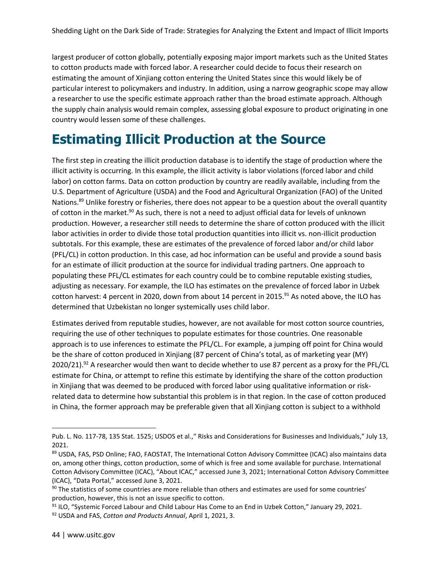largest producer of cotton globally, potentially exposing major import markets such as the United States to cotton products made with forced labor. A researcher could decide to focus their research on estimating the amount of Xinjiang cotton entering the United States since this would likely be of particular interest to policymakers and industry. In addition, using a narrow geographic scope may allow a researcher to use the specific estimate approach rather than the broad estimate approach. Although the supply chain analysis would remain complex, assessing global exposure to product originating in one country would lessen some of these challenges.

### **Estimating Illicit Production at the Source**

The first step in creating the illicit production database is to identify the stage of production where the illicit activity is occurring. In this example, the illicit activity is labor violations (forced labor and child labor) on cotton farms. Data on cotton production by country are readily available, including from the U.S. Department of Agriculture (USDA) and the Food and Agricultural Organization (FAO) of the United Nations.<sup>89</sup> Unlike forestry or fisheries, there does not appear to be a question about the overall quantity of cotton in the market.<sup>90</sup> As such, there is not a need to adjust official data for levels of unknown production. However, a researcher still needs to determine the share of cotton produced with the illicit labor activities in order to divide those total production quantities into illicit vs. non-illicit production subtotals. For this example, these are estimates of the prevalence of forced labor and/or child labor (PFL/CL) in cotton production. In this case, ad hoc information can be useful and provide a sound basis for an estimate of illicit production at the source for individual trading partners. One approach to populating these PFL/CL estimates for each country could be to combine reputable existing studies, adjusting as necessary. For example, the ILO has estimates on the prevalence of forced labor in Uzbek cotton harvest: 4 percent in 2020, down from about 14 percent in 2015.<sup>91</sup> As noted above, the ILO has determined that Uzbekistan no longer systemically uses child labor.

Estimates derived from reputable studies, however, are not available for most cotton source countries, requiring the use of other techniques to populate estimates for those countries. One reasonable approach is to use inferences to estimate the PFL/CL. For example, a jumping off point for China would be the share of cotton produced in Xinjiang (87 percent of China's total, as of marketing year (MY) 2020/21).<sup>92</sup> A researcher would then want to decide whether to use 87 percent as a proxy for the PFL/CL estimate for China, or attempt to refine this estimate by identifying the share of the cotton production in Xinjiang that was deemed to be produced with forced labor using qualitative information or riskrelated data to determine how substantial this problem is in that region. In the case of cotton produced in China, the former approach may be preferable given that all Xinjiang cotton is subject to a withhold

Pub. L. No. 117-78, 135 Stat. 1525; USDOS et al.," Risks and Considerations for Businesses and Individuals," July 13, 2021.

<sup>89</sup> USDA, FAS, PSD Online; FAO, FAOSTAT, The International Cotton Advisory Committee (ICAC) also maintains data on, among other things, cotton production, some of which is free and some available for purchase. International Cotton Advisory Committee (ICAC), "About ICAC," accessed June 3, 2021; International Cotton Advisory Committee (ICAC), "Data Portal," accessed June 3, 2021.

 $90$  The statistics of some countries are more reliable than others and estimates are used for some countries' production, however, this is not an issue specific to cotton.

<sup>&</sup>lt;sup>91</sup> ILO, "Systemic Forced Labour and Child Labour Has Come to an End in Uzbek Cotton," January 29, 2021.

<sup>92</sup> USDA and FAS, *Cotton and Products Annual*, April 1, 2021, 3.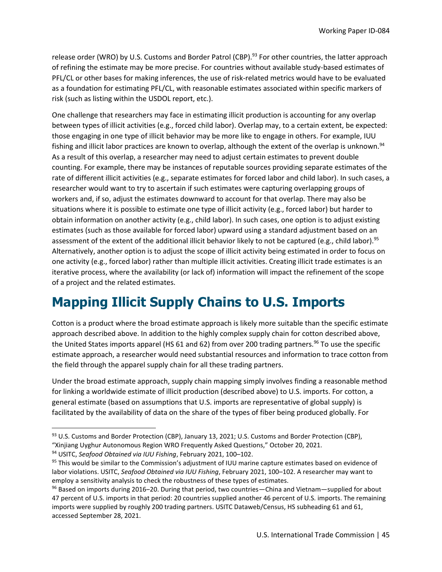release order (WRO) by U.S. Customs and Border Patrol (CBP).<sup>93</sup> For other countries, the latter approach of refining the estimate may be more precise. For countries without available study-based estimates of PFL/CL or other bases for making inferences, the use of risk-related metrics would have to be evaluated as a foundation for estimating PFL/CL, with reasonable estimates associated within specific markers of risk (such as listing within the USDOL report, etc.).

One challenge that researchers may face in estimating illicit production is accounting for any overlap between types of illicit activities (e.g., forced child labor). Overlap may, to a certain extent, be expected: those engaging in one type of illicit behavior may be more like to engage in others. For example, IUU fishing and illicit labor practices are known to overlap, although the extent of the overlap is unknown.<sup>94</sup> As a result of this overlap, a researcher may need to adjust certain estimates to prevent double counting. For example, there may be instances of reputable sources providing separate estimates of the rate of different illicit activities (e.g., separate estimates for forced labor and child labor). In such cases, a researcher would want to try to ascertain if such estimates were capturing overlapping groups of workers and, if so, adjust the estimates downward to account for that overlap. There may also be situations where it is possible to estimate one type of illicit activity (e.g., forced labor) but harder to obtain information on another activity (e.g., child labor). In such cases, one option is to adjust existing estimates (such as those available for forced labor) upward using a standard adjustment based on an assessment of the extent of the additional illicit behavior likely to not be captured (e.g., child labor).<sup>95</sup> Alternatively, another option is to adjust the scope of illicit activity being estimated in order to focus on one activity (e.g., forced labor) rather than multiple illicit activities. Creating illicit trade estimates is an iterative process, where the availability (or lack of) information will impact the refinement of the scope of a project and the related estimates.

### **Mapping Illicit Supply Chains to U.S. Imports**

Cotton is a product where the broad estimate approach is likely more suitable than the specific estimate approach described above. In addition to the highly complex supply chain for cotton described above, the United States imports apparel (HS 61 and 62) from over 200 trading partners.<sup>96</sup> To use the specific estimate approach, a researcher would need substantial resources and information to trace cotton from the field through the apparel supply chain for all these trading partners.

Under the broad estimate approach, supply chain mapping simply involves finding a reasonable method for linking a worldwide estimate of illicit production (described above) to U.S. imports. For cotton, a general estimate (based on assumptions that U.S. imports are representative of global supply) is facilitated by the availability of data on the share of the types of fiber being produced globally. For

<sup>93</sup> U.S. Customs and Border Protection (CBP), January 13, 2021; U.S. Customs and Border Protection (CBP), "Xinjiang Uyghur Autonomous Region WRO Frequently Asked Questions," October 20, 2021.

<sup>94</sup> USITC, *Seafood Obtained via IUU Fishing*, February 2021, 100–102.

<sup>&</sup>lt;sup>95</sup> This would be similar to the Commission's adjustment of IUU marine capture estimates based on evidence of labor violations. USITC, *Seafood Obtained via IUU Fishing*, February 2021, 100–102. A researcher may want to employ a sensitivity analysis to check the robustness of these types of estimates.

<sup>&</sup>lt;sup>96</sup> Based on imports during 2016–20. During that period, two countries—China and Vietnam—supplied for about 47 percent of U.S. imports in that period: 20 countries supplied another 46 percent of U.S. imports. The remaining imports were supplied by roughly 200 trading partners. USITC Dataweb/Census, HS subheading 61 and 61, accessed September 28, 2021.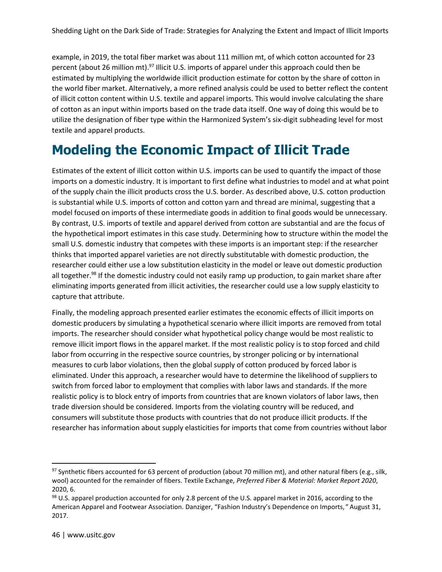example, in 2019, the total fiber market was about 111 million mt, of which cotton accounted for 23 percent (about 26 million mt).<sup>97</sup> Illicit U.S. imports of apparel under this approach could then be estimated by multiplying the worldwide illicit production estimate for cotton by the share of cotton in the world fiber market. Alternatively, a more refined analysis could be used to better reflect the content of illicit cotton content within U.S. textile and apparel imports. This would involve calculating the share of cotton as an input within imports based on the trade data itself. One way of doing this would be to utilize the designation of fiber type within the Harmonized System's six-digit subheading level for most textile and apparel products.

### **Modeling the Economic Impact of Illicit Trade**

Estimates of the extent of illicit cotton within U.S. imports can be used to quantify the impact of those imports on a domestic industry. It is important to first define what industries to model and at what point of the supply chain the illicit products cross the U.S. border. As described above, U.S. cotton production is substantial while U.S. imports of cotton and cotton yarn and thread are minimal, suggesting that a model focused on imports of these intermediate goods in addition to final goods would be unnecessary. By contrast, U.S. imports of textile and apparel derived from cotton are substantial and are the focus of the hypothetical import estimates in this case study. Determining how to structure within the model the small U.S. domestic industry that competes with these imports is an important step: if the researcher thinks that imported apparel varieties are not directly substitutable with domestic production, the researcher could either use a low substitution elasticity in the model or leave out domestic production all together.<sup>98</sup> If the domestic industry could not easily ramp up production, to gain market share after eliminating imports generated from illicit activities, the researcher could use a low supply elasticity to capture that attribute.

Finally, the modeling approach presented earlier estimates the economic effects of illicit imports on domestic producers by simulating a hypothetical scenario where illicit imports are removed from total imports. The researcher should consider what hypothetical policy change would be most realistic to remove illicit import flows in the apparel market. If the most realistic policy is to stop forced and child labor from occurring in the respective source countries, by stronger policing or by international measures to curb labor violations, then the global supply of cotton produced by forced labor is eliminated. Under this approach, a researcher would have to determine the likelihood of suppliers to switch from forced labor to employment that complies with labor laws and standards. If the more realistic policy is to block entry of imports from countries that are known violators of labor laws, then trade diversion should be considered. Imports from the violating country will be reduced, and consumers will substitute those products with countries that do not produce illicit products. If the researcher has information about supply elasticities for imports that come from countries without labor

 $97$  Synthetic fibers accounted for 63 percent of production (about 70 million mt), and other natural fibers (e.g., silk, wool) accounted for the remainder of fibers. Textile Exchange, *Preferred Fiber & Material: Market Report 2020*, 2020, 6.

<sup>98</sup> U.S. apparel production accounted for only 2.8 percent of the U.S. apparel market in 2016, according to the American Apparel and Footwear Association. Danziger, "Fashion Industry's Dependence on Imports,*"* August 31, 2017.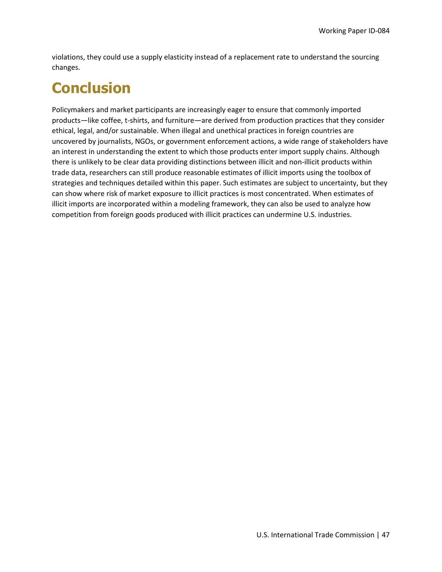violations, they could use a supply elasticity instead of a replacement rate to understand the sourcing changes.

# **Conclusion**

Policymakers and market participants are increasingly eager to ensure that commonly imported products—like coffee, t-shirts, and furniture—are derived from production practices that they consider ethical, legal, and/or sustainable. When illegal and unethical practices in foreign countries are uncovered by journalists, NGOs, or government enforcement actions, a wide range of stakeholders have an interest in understanding the extent to which those products enter import supply chains. Although there is unlikely to be clear data providing distinctions between illicit and non-illicit products within trade data, researchers can still produce reasonable estimates of illicit imports using the toolbox of strategies and techniques detailed within this paper. Such estimates are subject to uncertainty, but they can show where risk of market exposure to illicit practices is most concentrated. When estimates of illicit imports are incorporated within a modeling framework, they can also be used to analyze how competition from foreign goods produced with illicit practices can undermine U.S. industries.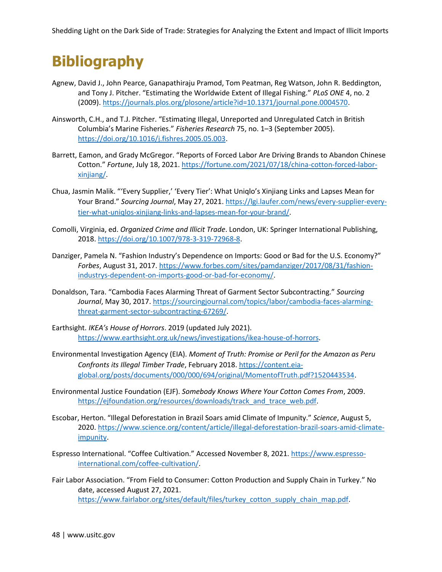# **Bibliography**

- Agnew, David J., John Pearce, Ganapathiraju Pramod, Tom Peatman, Reg Watson, John R. Beddington, and Tony J. Pitcher. "Estimating the Worldwide Extent of Illegal Fishing." *PLoS ONE* 4, no. 2 (2009). [https://journals.plos.org/plosone/article?id=10.1371/journal.pone.0004570.](https://journals.plos.org/plosone/article?id=10.1371/journal.pone.0004570)
- Ainsworth, C.H., and T.J. Pitcher. "Estimating Illegal, Unreported and Unregulated Catch in British Columbia's Marine Fisheries." *Fisheries Research* 75, no. 1–3 (September 2005). [https://doi.org/10.1016/j.fishres.2005.05.003.](https://doi.org/10.1016/j.fishres.2005.05.003)
- Barrett, Eamon, and Grady McGregor. "Reports of Forced Labor Are Driving Brands to Abandon Chinese Cotton." *Fortune*, July 18, 2021[. https://fortune.com/2021/07/18/china-cotton-forced-labor](https://fortune.com/2021/07/18/china-cotton-forced-labor-xinjiang/)[xinjiang/.](https://fortune.com/2021/07/18/china-cotton-forced-labor-xinjiang/)
- Chua, Jasmin Malik. "'Every Supplier,' 'Every Tier': What Uniqlo's Xinjiang Links and Lapses Mean for Your Brand." *Sourcing Journal*, May 27, 2021[. https://lgi.laufer.com/news/every-supplier-every](https://lgi.laufer.com/news/every-supplier-every-tier-what-uniqlos-xinjiang-links-and-lapses-mean-for-your-brand/)[tier-what-uniqlos-xinjiang-links-and-lapses-mean-for-your-brand/.](https://lgi.laufer.com/news/every-supplier-every-tier-what-uniqlos-xinjiang-links-and-lapses-mean-for-your-brand/)
- Comolli, Virginia, ed. *Organized Crime and Illicit Trade*. London, UK: Springer International Publishing, 2018[. https://doi.org/10.1007/978-3-319-72968-8.](https://doi.org/10.1007/978-3-319-72968-8)
- Danziger, Pamela N. "Fashion Industry's Dependence on Imports: Good or Bad for the U.S. Economy?" *Forbes*, August 31, 2017[. https://www.forbes.com/sites/pamdanziger/2017/08/31/fashion](https://www.forbes.com/sites/pamdanziger/2017/08/31/fashion-industrys-dependent-on-imports-good-or-bad-for-economy/)[industrys-dependent-on-imports-good-or-bad-for-economy/.](https://www.forbes.com/sites/pamdanziger/2017/08/31/fashion-industrys-dependent-on-imports-good-or-bad-for-economy/)
- Donaldson, Tara. "Cambodia Faces Alarming Threat of Garment Sector Subcontracting." *Sourcing Journal*, May 30, 2017[. https://sourcingjournal.com/topics/labor/cambodia-faces-alarming](https://sourcingjournal.com/topics/labor/cambodia-faces-alarming-threat-garment-sector-subcontracting-67269/)[threat-garment-sector-subcontracting-67269/.](https://sourcingjournal.com/topics/labor/cambodia-faces-alarming-threat-garment-sector-subcontracting-67269/)
- Earthsight. *IKEA's House of Horrors*. 2019 (updated July 2021). [https://www.earthsight.org.uk/news/investigations/ikea-house-of-horrors.](https://www.earthsight.org.uk/news/investigations/ikea-house-of-horrors)
- Environmental Investigation Agency (EIA). *Moment of Truth: Promise or Peril for the Amazon as Peru Confronts its Illegal Timber Trade*, February 2018. [https://content.eia](https://content.eia-global.org/posts/documents/000/000/694/original/MomentofTruth.pdf?1520443534)[global.org/posts/documents/000/000/694/original/MomentofTruth.pdf?1520443534.](https://content.eia-global.org/posts/documents/000/000/694/original/MomentofTruth.pdf?1520443534)
- Environmental Justice Foundation (EJF). *Somebody Knows Where Your Cotton Comes From*, 2009. [https://ejfoundation.org/resources/downloads/track\\_and\\_trace\\_web.pdf.](https://ejfoundation.org/resources/downloads/track_and_trace_web.pdf)
- Escobar, Herton. "Illegal Deforestation in Brazil Soars amid Climate of Impunity." *Science*, August 5, 2020[. https://www.science.org/content/article/illegal-deforestation-brazil-soars-amid-climate](https://www.science.org/content/article/illegal-deforestation-brazil-soars-amid-climate-impunity)[impunity.](https://www.science.org/content/article/illegal-deforestation-brazil-soars-amid-climate-impunity)
- Espresso International. "Coffee Cultivation." Accessed November 8, 2021. [https://www.espresso](https://www.espresso-international.com/coffee-cultivation/)[international.com/coffee-cultivation/.](https://www.espresso-international.com/coffee-cultivation/)
- Fair Labor Association. "From Field to Consumer: Cotton Production and Supply Chain in Turkey." No date, accessed August 27, 2021. [https://www.fairlabor.org/sites/default/files/turkey\\_cotton\\_supply\\_chain\\_map.pdf.](https://www.fairlabor.org/sites/default/files/turkey_cotton_supply_chain_map.pdf)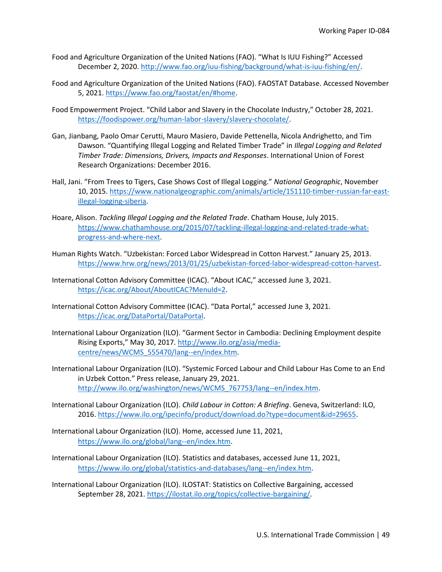- Food and Agriculture Organization of the United Nations (FAO). "What Is IUU Fishing?" Accessed December 2, 2020. [http://www.fao.org/iuu-fishing/background/what-is-iuu-fishing/en/.](http://www.fao.org/iuu-fishing/background/what-is-iuu-fishing/en/)
- Food and Agriculture Organization of the United Nations (FAO). FAOSTAT Database. Accessed November 5, 2021[. https://www.fao.org/faostat/en/#home.](https://www.fao.org/faostat/en/)
- Food Empowerment Project. "Child Labor and Slavery in the Chocolate Industry," October 28, 2021. [https://foodispower.org/human-labor-slavery/slavery-chocolate/.](https://foodispower.org/human-labor-slavery/slavery-chocolate/)
- Gan, Jianbang, Paolo Omar Cerutti, Mauro Masiero, Davide Pettenella, Nicola Andrighetto, and Tim Dawson. "Quantifying Illegal Logging and Related Timber Trade" in *Illegal Logging and Related Timber Trade: Dimensions, Drivers, Impacts and Responses*. International Union of Forest Research Organizations: December 2016.
- Hall, Jani. "From Trees to Tigers, Case Shows Cost of Illegal Logging." *National Geographic*, November 10, 2015. [https://www.nationalgeographic.com/animals/article/151110-timber-russian-far-east](https://www.nationalgeographic.com/animals/article/151110-timber-russian-far-east-illegal-logging-siberia)[illegal-logging-siberia.](https://www.nationalgeographic.com/animals/article/151110-timber-russian-far-east-illegal-logging-siberia)
- Hoare, Alison. *Tackling Illegal Logging and the Related Trade*. Chatham House, July 2015. [https://www.chathamhouse.org/2015/07/tackling-illegal-logging-and-related-trade-what](https://www.chathamhouse.org/2015/07/tackling-illegal-logging-and-related-trade-what-progress-and-where-next)[progress-and-where-next.](https://www.chathamhouse.org/2015/07/tackling-illegal-logging-and-related-trade-what-progress-and-where-next)
- Human Rights Watch. "Uzbekistan: Forced Labor Widespread in Cotton Harvest." January 25, 2013. [https://www.hrw.org/news/2013/01/25/uzbekistan-forced-labor-widespread-cotton-harvest.](https://www.hrw.org/news/2013/01/25/uzbekistan-forced-labor-widespread-cotton-harvest)
- International Cotton Advisory Committee (ICAC). "About ICAC," accessed June 3, 2021. [https://icac.org/About/AboutICAC?MenuId=2.](https://icac.org/About/AboutICAC?MenuId=2)
- International Cotton Advisory Committee (ICAC). "Data Portal," accessed June 3, 2021. [https://icac.org/DataPortal/DataPortal.](https://icac.org/DataPortal/DataPortal)
- International Labour Organization (ILO). "Garment Sector in Cambodia: Declining Employment despite Rising Exports," May 30, 2017. [http://www.ilo.org/asia/media](http://www.ilo.org/asia/media-centre/news/WCMS_555470/lang--en/index.htm)[centre/news/WCMS\\_555470/lang--en/index.htm.](http://www.ilo.org/asia/media-centre/news/WCMS_555470/lang--en/index.htm)
- International Labour Organization (ILO). "Systemic Forced Labour and Child Labour Has Come to an End in Uzbek Cotton." Press release, January 29, 2021. [http://www.ilo.org/washington/news/WCMS\\_767753/lang--en/index.htm.](http://www.ilo.org/washington/news/WCMS_767753/lang--en/index.htm)
- International Labour Organization (ILO). *Child Labour in Cotton: A Briefing*. Geneva, Switzerland: ILO, 2016[. https://www.ilo.org/ipecinfo/product/download.do?type=document&id=29655.](https://www.ilo.org/ipecinfo/product/download.do?type=document&id=29655)
- International Labour Organization (ILO). Home, accessed June 11, 2021, [https://www.ilo.org/global/lang--en/index.htm.](https://www.ilo.org/global/lang--en/index.htm)
- International Labour Organization (ILO). Statistics and databases, accessed June 11, 2021, [https://www.ilo.org/global/statistics-and-databases/lang--en/index.htm.](https://www.ilo.org/global/statistics-and-databases/lang--en/index.htm)

International Labour Organization (ILO). ILOSTAT: Statistics on Collective Bargaining, accessed September 28, 2021. [https://ilostat.ilo.org/topics/collective-bargaining/.](https://ilostat.ilo.org/topics/collective-bargaining/)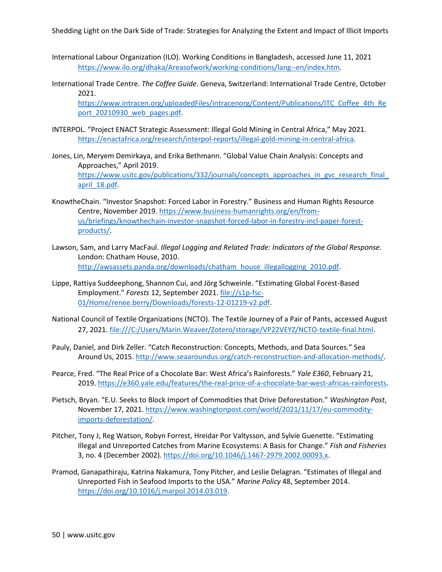- International Labour Organization (ILO). Working Conditions in Bangladesh, accessed June 11, 2021 [https://www.ilo.org/dhaka/Areasofwork/working-conditions/lang--en/index.htm.](https://www.ilo.org/dhaka/Areasofwork/working-conditions/lang--en/index.htm)
- International Trade Centre. *The Coffee Guide*. Geneva, Switzerland: International Trade Centre, October 2021.

[https://www.intracen.org/uploadedFiles/intracenorg/Content/Publications/ITC\\_Coffee\\_4th\\_Re](https://www.intracen.org/uploadedFiles/intracenorg/Content/Publications/ITC_Coffee_4th_Report_20210930_web_pages.pdf) port 20210930 web pages.pdf.

- INTERPOL. "Project ENACT Strategic Assessment: Illegal Gold Mining in Central Africa," May 2021. [https://enactafrica.org/research/interpol-reports/illegal-gold-mining-in-central-africa.](https://enactafrica.org/research/interpol-reports/illegal-gold-mining-in-central-africa)
- Jones, Lin, Meryem Demirkaya, and Erika Bethmann. "Global Value Chain Analysis: Concepts and Approaches," April 2019. [https://www.usitc.gov/publications/332/journals/concepts\\_approaches\\_in\\_gvc\\_research\\_final\\_](https://www.usitc.gov/publications/332/journals/concepts_approaches_in_gvc_research_final_april_18.pdf) [april\\_18.pdf.](https://www.usitc.gov/publications/332/journals/concepts_approaches_in_gvc_research_final_april_18.pdf)
- KnowtheChain. "Investor Snapshot: Forced Labor in Forestry." Business and Human Rights Resource Centre, November 2019[. https://www.business-humanrights.org/en/from](https://www.business-humanrights.org/en/from-us/briefings/knowthechain-investor-snapshot-forced-labor-in-forestry-incl-paper-forest-products/)[us/briefings/knowthechain-investor-snapshot-forced-labor-in-forestry-incl-paper-forest](https://www.business-humanrights.org/en/from-us/briefings/knowthechain-investor-snapshot-forced-labor-in-forestry-incl-paper-forest-products/)[products/.](https://www.business-humanrights.org/en/from-us/briefings/knowthechain-investor-snapshot-forced-labor-in-forestry-incl-paper-forest-products/)
- Lawson, Sam, and Larry MacFaul. *Illegal Logging and Related Trade: Indicators of the Global Response*. London: Chatham House, 2010. [http://awsassets.panda.org/downloads/chatham\\_house\\_illegallogging\\_2010.pdf.](http://awsassets.panda.org/downloads/chatham_house_illegallogging_2010.pdf)
- Lippe, Rattiya Suddeephong, Shannon Cui, and Jörg Schweinle. "Estimating Global Forest-Based Employment." *Forests* 12, September 2021. [file://s1p-fsc-](file://///s1p-fsc-01/Home/renee.berry/Downloads/forests-12-01219-v2.pdf)[01/Home/renee.berry/Downloads/forests-12-01219-v2.pdf.](file://///s1p-fsc-01/Home/renee.berry/Downloads/forests-12-01219-v2.pdf)
- National Council of Textile Organizations (NCTO). The Textile Journey of a Pair of Pants, accessed August 27, 2021. [file:///C:/Users/Marin.Weaver/Zotero/storage/VP22VEYZ/NCTO-textile-final.html.](file:///C:/Users/Marin.Weaver/Zotero/storage/VP22VEYZ/NCTO-textile-final.html)
- Pauly, Daniel, and Dirk Zeller. "Catch Reconstruction: Concepts, Methods, and Data Sources." Sea Around Us, 2015. [http://www.seaaroundus.org/catch-reconstruction-and-allocation-methods/.](http://www.seaaroundus.org/catch-reconstruction-and-allocation-methods/)
- Pearce, Fred. "The Real Price of a Chocolate Bar: West Africa's Rainforests." *Yale E360*, February 21, 2019[. https://e360.yale.edu/features/the-real-price-of-a-chocolate-bar-west-africas-rainforests.](https://e360.yale.edu/features/the-real-price-of-a-chocolate-bar-west-africas-rainforests)
- Pietsch, Bryan. "E.U. Seeks to Block Import of Commodities that Drive Deforestation." *Washington Post*, November 17, 2021[. https://www.washingtonpost.com/world/2021/11/17/eu-commodity](https://www.washingtonpost.com/world/2021/11/17/eu-commodity-imports-deforestation/)[imports-deforestation/.](https://www.washingtonpost.com/world/2021/11/17/eu-commodity-imports-deforestation/)
- Pitcher, Tony J, Reg Watson, Robyn Forrest, Hreidar Por Valtysson, and Sylvie Guenette. "Estimating Illegal and Unreported Catches from Marine Ecosystems: A Basis for Change." *Fish and Fisheries* 3, no. 4 (December 2002)[. https://doi.org/10.1046/j.1467-2979.2002.00093.x.](https://doi.org/10.1046/j.1467-2979.2002.00093.x)
- Pramod, Ganapathiraju, Katrina Nakamura, Tony Pitcher, and Leslie Delagran. "Estimates of Illegal and Unreported Fish in Seafood Imports to the USA." *Marine Policy* 48, September 2014. [https://doi.org/10.1016/j.marpol.2014.03.019.](https://doi.org/10.1016/j.marpol.2014.03.019)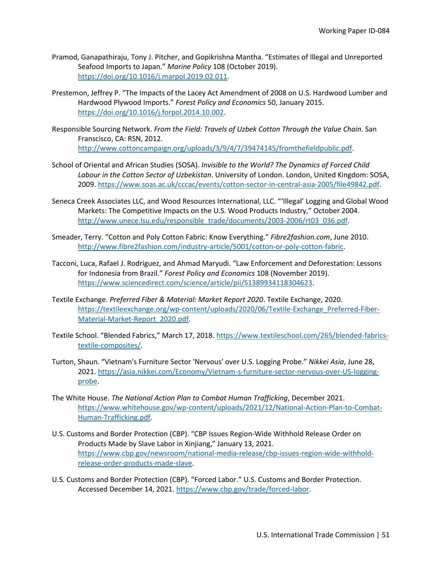- Pramod, Ganapathiraju, Tony J. Pitcher, and Gopikrishna Mantha. "Estimates of Illegal and Unreported Seafood Imports to Japan." *Marine Policy* 108 (October 2019). [https://doi.org/10.1016/j.marpol.2019.02.011.](https://doi.org/10.1016/j.marpol.2019.02.011)
- Prestemon, Jeffrey P. "The Impacts of the Lacey Act Amendment of 2008 on U.S. Hardwood Lumber and Hardwood Plywood Imports." *Forest Policy and Economics* 50, January 2015. [https://doi.org/10.1016/j.forpol.2014.10.002.](https://doi.org/10.1016/j.forpol.2014.10.002)
- Responsible Sourcing Network. *From the Field: Travels of Uzbek Cotton Through the Value Chain*. San Franscisco, CA: RSN, 2012. [http://www.cottoncampaign.org/uploads/3/9/4/7/39474145/fromthefieldpublic.pdf.](http://www.cottoncampaign.org/uploads/3/9/4/7/39474145/fromthefieldpublic.pdf)
- School of Oriental and African Studies (SOSA). *Invisible to the World? The Dynamics of Forced Child Labour in the Cotton Sector of Uzbekistan*. University of London. London, United Kingdom: SOSA, 2009[. https://www.soas.ac.uk/cccac/events/cotton-sector-in-central-asia-2005/file49842.pdf.](https://www.soas.ac.uk/cccac/events/cotton-sector-in-central-asia-2005/file49842.pdf)
- Seneca Creek Associates LLC, and Wood Resources International, LLC. "'Illegal' Logging and Global Wood Markets: The Competitive Impacts on the U.S. Wood Products Industry," October 2004. [http://www.unece.lsu.edu/responsible\\_trade/documents/2003-2006/rt03\\_036.pdf.](http://www.unece.lsu.edu/responsible_trade/documents/2003-2006/rt03_036.pdf)
- Smeader, Terry. "Cotton and Poly Cotton Fabric: Know Everything." *Fibre2fashion.com*, June 2010. [http://www.fibre2fashion.com/industry-article/5001/cotton-or-poly-cotton-fabric.](http://www.fibre2fashion.com/industry-article/5001/cotton-or-poly-cotton-fabric)
- Tacconi, Luca, Rafael J. Rodriguez, and Ahmad Maryudi. "Law Enforcement and Deforestation: Lessons for Indonesia from Brazil." *Forest Policy and Economics* 108 (November 2019). [https://www.sciencedirect.com/science/article/pii/S1389934118304623.](https://www.sciencedirect.com/science/article/pii/S1389934118304623)
- Textile Exchange. *Preferred Fiber & Material: Market Report 2020*. Textile Exchange, 2020. [https://textileexchange.org/wp-content/uploads/2020/06/Textile-Exchange\\_Preferred-Fiber-](https://textileexchange.org/wp-content/uploads/2020/06/Textile-Exchange_Preferred-Fiber-Material-Market-Report_2020.pdf)[Material-Market-Report\\_2020.pdf.](https://textileexchange.org/wp-content/uploads/2020/06/Textile-Exchange_Preferred-Fiber-Material-Market-Report_2020.pdf)
- Textile School. "Blended Fabrics," March 17, 2018. [https://www.textileschool.com/265/blended-fabrics](https://www.textileschool.com/265/blended-fabrics-textile-composites/)[textile-composites/.](https://www.textileschool.com/265/blended-fabrics-textile-composites/)
- Turton, Shaun. "Vietnam's Furniture Sector 'Nervous' over U.S. Logging Probe." *Nikkei Asia*, June 28, 2021[. https://asia.nikkei.com/Economy/Vietnam-s-furniture-sector-nervous-over-US-logging](https://asia.nikkei.com/Economy/Vietnam-s-furniture-sector-nervous-over-US-logging-probe)[probe.](https://asia.nikkei.com/Economy/Vietnam-s-furniture-sector-nervous-over-US-logging-probe)
- The White House. *The National Action Plan to Combat Human Trafficking*, December 2021. [https://www.whitehouse.gov/wp-content/uploads/2021/12/National-Action-Plan-to-Combat-](https://www.whitehouse.gov/wp-content/uploads/2021/12/National-Action-Plan-to-Combat-Human-Trafficking.pdf)[Human-Trafficking.pdf.](https://www.whitehouse.gov/wp-content/uploads/2021/12/National-Action-Plan-to-Combat-Human-Trafficking.pdf)
- U.S. Customs and Border Protection (CBP). "CBP Issues Region-Wide Withhold Release Order on Products Made by Slave Labor in Xinjiang," January 13, 2021. [https://www.cbp.gov/newsroom/national-media-release/cbp-issues-region-wide-withhold](https://www.cbp.gov/newsroom/national-media-release/cbp-issues-region-wide-withhold-release-order-products-made-slave)[release-order-products-made-slave.](https://www.cbp.gov/newsroom/national-media-release/cbp-issues-region-wide-withhold-release-order-products-made-slave)
- U.S. Customs and Border Protection (CBP). "Forced Labor." U.S. Customs and Border Protection. Accessed December 14, 2021. [https://www.cbp.gov/trade/forced-labor.](https://www.cbp.gov/trade/forced-labor)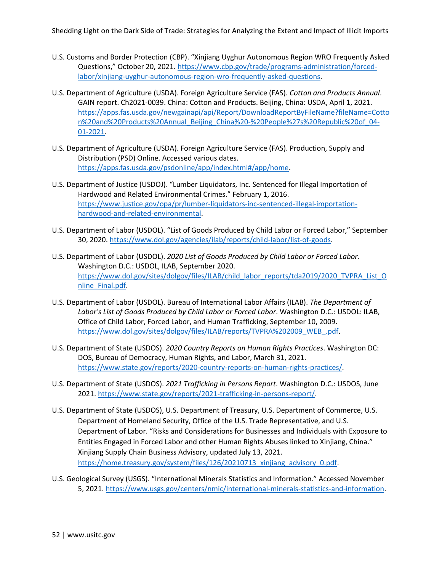- U.S. Customs and Border Protection (CBP). "Xinjiang Uyghur Autonomous Region WRO Frequently Asked Questions," October 20, 2021. [https://www.cbp.gov/trade/programs-administration/forced](https://www.cbp.gov/trade/programs-administration/forced-labor/xinjiang-uyghur-autonomous-region-wro-frequently-asked-questions)[labor/xinjiang-uyghur-autonomous-region-wro-frequently-asked-questions.](https://www.cbp.gov/trade/programs-administration/forced-labor/xinjiang-uyghur-autonomous-region-wro-frequently-asked-questions)
- U.S. Department of Agriculture (USDA). Foreign Agriculture Service (FAS). *Cotton and Products Annual*. GAIN report. Ch2021-0039. China: Cotton and Products. Beijing, China: USDA, April 1, 2021. [https://apps.fas.usda.gov/newgainapi/api/Report/DownloadReportByFileName?fileName=Cotto](https://apps.fas.usda.gov/newgainapi/api/Report/DownloadReportByFileName?fileName=Cotton%20and%20Products%20Annual_Beijing_China%20-%20People%27s%20Republic%20of_04-01-2021) [n%20and%20Products%20Annual\\_Beijing\\_China%20-%20People%27s%20Republic%20of\\_04-](https://apps.fas.usda.gov/newgainapi/api/Report/DownloadReportByFileName?fileName=Cotton%20and%20Products%20Annual_Beijing_China%20-%20People%27s%20Republic%20of_04-01-2021) [01-2021.](https://apps.fas.usda.gov/newgainapi/api/Report/DownloadReportByFileName?fileName=Cotton%20and%20Products%20Annual_Beijing_China%20-%20People%27s%20Republic%20of_04-01-2021)
- U.S. Department of Agriculture (USDA). Foreign Agriculture Service (FAS). Production, Supply and Distribution (PSD) Online. Accessed various dates. [https://apps.fas.usda.gov/psdonline/app/index.html#/app/home.](https://apps.fas.usda.gov/psdonline/app/index.html)
- U.S. Department of Justice (USDOJ). "Lumber Liquidators, Inc. Sentenced for Illegal Importation of Hardwood and Related Environmental Crimes." February 1, 2016. [https://www.justice.gov/opa/pr/lumber-liquidators-inc-sentenced-illegal-importation](https://www.justice.gov/opa/pr/lumber-liquidators-inc-sentenced-illegal-importation-hardwood-and-related-environmental)[hardwood-and-related-environmental.](https://www.justice.gov/opa/pr/lumber-liquidators-inc-sentenced-illegal-importation-hardwood-and-related-environmental)
- U.S. Department of Labor (USDOL). "List of Goods Produced by Child Labor or Forced Labor," September 30, 2020. [https://www.dol.gov/agencies/ilab/reports/child-labor/list-of-goods.](https://www.dol.gov/agencies/ilab/reports/child-labor/list-of-goods)
- U.S. Department of Labor (USDOL). *2020 List of Goods Produced by Child Labor or Forced Labor*. Washington D.C.: USDOL, ILAB, September 2020. [https://www.dol.gov/sites/dolgov/files/ILAB/child\\_labor\\_reports/tda2019/2020\\_TVPRA\\_List\\_O](https://www.dol.gov/sites/dolgov/files/ILAB/child_labor_reports/tda2019/2020_TVPRA_List_Online_Final.pdf) [nline\\_Final.pdf.](https://www.dol.gov/sites/dolgov/files/ILAB/child_labor_reports/tda2019/2020_TVPRA_List_Online_Final.pdf)
- U.S. Department of Labor (USDOL). Bureau of International Labor Affairs (ILAB). *The Department of Labor's List of Goods Produced by Child Labor or Forced Labor*. Washington D.C.: USDOL: ILAB, Office of Child Labor, Forced Labor, and Human Trafficking, September 10, 2009. [https://www.dol.gov/sites/dolgov/files/ILAB/reports/TVPRA%202009\\_WEB\\_.pdf.](https://www.dol.gov/sites/dolgov/files/ILAB/reports/TVPRA%202009_WEB_.pdf)
- U.S. Department of State (USDOS). *2020 Country Reports on Human Rights Practices*. Washington DC: DOS, Bureau of Democracy, Human Rights, and Labor, March 31, 2021. [https://www.state.gov/reports/2020-country-reports-on-human-rights-practices/.](https://www.state.gov/reports/2020-country-reports-on-human-rights-practices/)
- U.S. Department of State (USDOS). *2021 Trafficking in Persons Report*. Washington D.C.: USDOS, June 2021[. https://www.state.gov/reports/2021-trafficking-in-persons-report/.](https://www.state.gov/reports/2021-trafficking-in-persons-report/)
- U.S. Department of State (USDOS), U.S. Department of Treasury, U.S. Department of Commerce, U.S. Department of Homeland Security, Office of the U.S. Trade Representative, and U.S. Department of Labor. "Risks and Considerations for Businesses and Individuals with Exposure to Entities Engaged in Forced Labor and other Human Rights Abuses linked to Xinjiang, China." Xinjiang Supply Chain Business Advisory, updated July 13, 2021. [https://home.treasury.gov/system/files/126/20210713\\_xinjiang\\_advisory\\_0.pdf.](https://home.treasury.gov/system/files/126/20210713_xinjiang_advisory_0.pdf)
- U.S. Geological Survey (USGS). "International Minerals Statistics and Information." Accessed November 5, 2021[. https://www.usgs.gov/centers/nmic/international-minerals-statistics-and-information.](https://www.usgs.gov/centers/nmic/international-minerals-statistics-and-information)